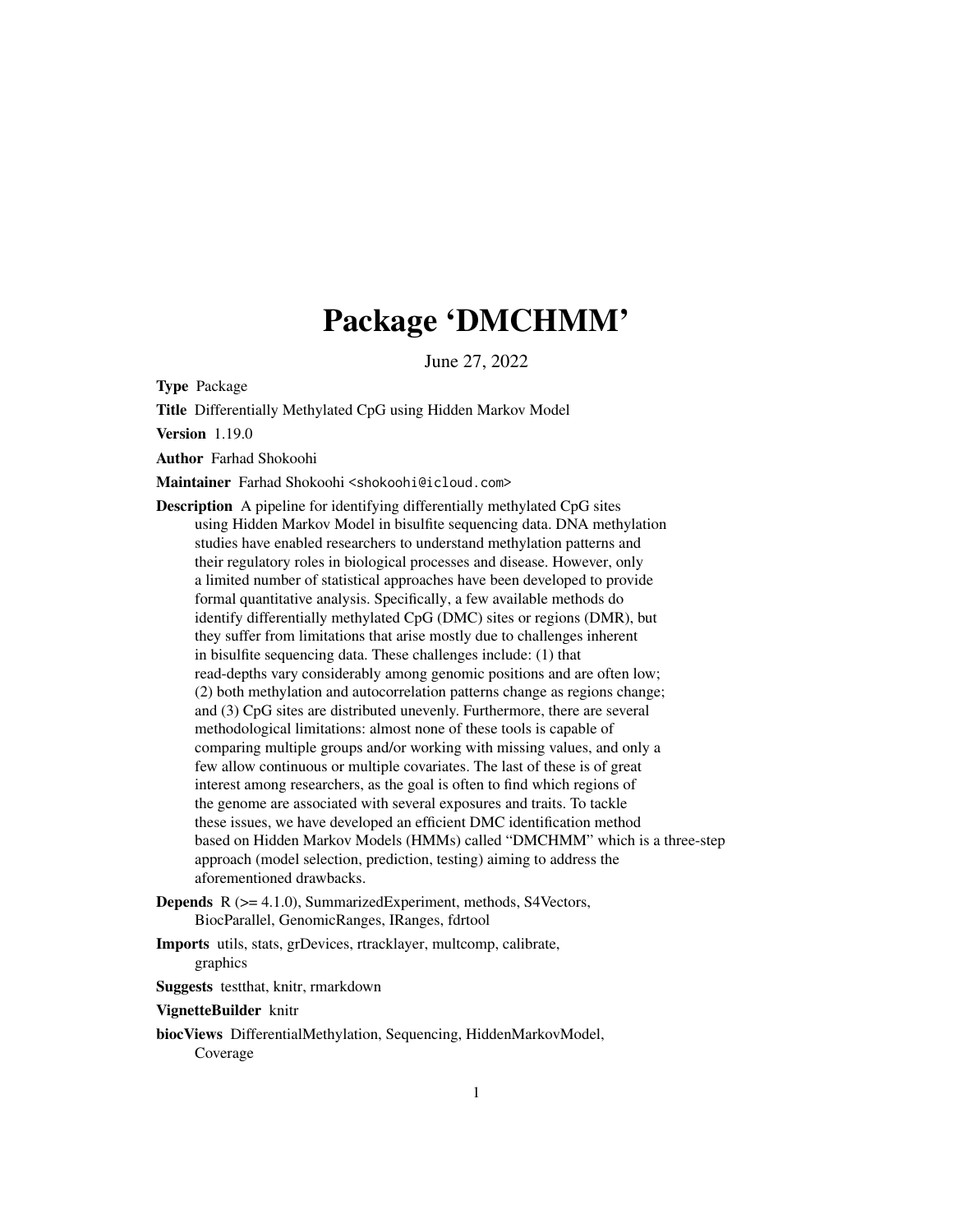# Package 'DMCHMM'

June 27, 2022

<span id="page-0-0"></span>Type Package

Title Differentially Methylated CpG using Hidden Markov Model

Version 1.19.0

Author Farhad Shokoohi

Maintainer Farhad Shokoohi <shokoohi@icloud.com>

Description A pipeline for identifying differentially methylated CpG sites using Hidden Markov Model in bisulfite sequencing data. DNA methylation studies have enabled researchers to understand methylation patterns and their regulatory roles in biological processes and disease. However, only a limited number of statistical approaches have been developed to provide formal quantitative analysis. Specifically, a few available methods do identify differentially methylated CpG (DMC) sites or regions (DMR), but they suffer from limitations that arise mostly due to challenges inherent in bisulfite sequencing data. These challenges include: (1) that read-depths vary considerably among genomic positions and are often low; (2) both methylation and autocorrelation patterns change as regions change; and (3) CpG sites are distributed unevenly. Furthermore, there are several methodological limitations: almost none of these tools is capable of comparing multiple groups and/or working with missing values, and only a few allow continuous or multiple covariates. The last of these is of great interest among researchers, as the goal is often to find which regions of the genome are associated with several exposures and traits. To tackle these issues, we have developed an efficient DMC identification method based on Hidden Markov Models (HMMs) called "DMCHMM" which is a three-step approach (model selection, prediction, testing) aiming to address the aforementioned drawbacks.

- Depends R (>= 4.1.0), SummarizedExperiment, methods, S4Vectors, BiocParallel, GenomicRanges, IRanges, fdrtool
- Imports utils, stats, grDevices, rtracklayer, multcomp, calibrate, graphics

Suggests testthat, knitr, rmarkdown

#### VignetteBuilder knitr

biocViews DifferentialMethylation, Sequencing, HiddenMarkovModel, Coverage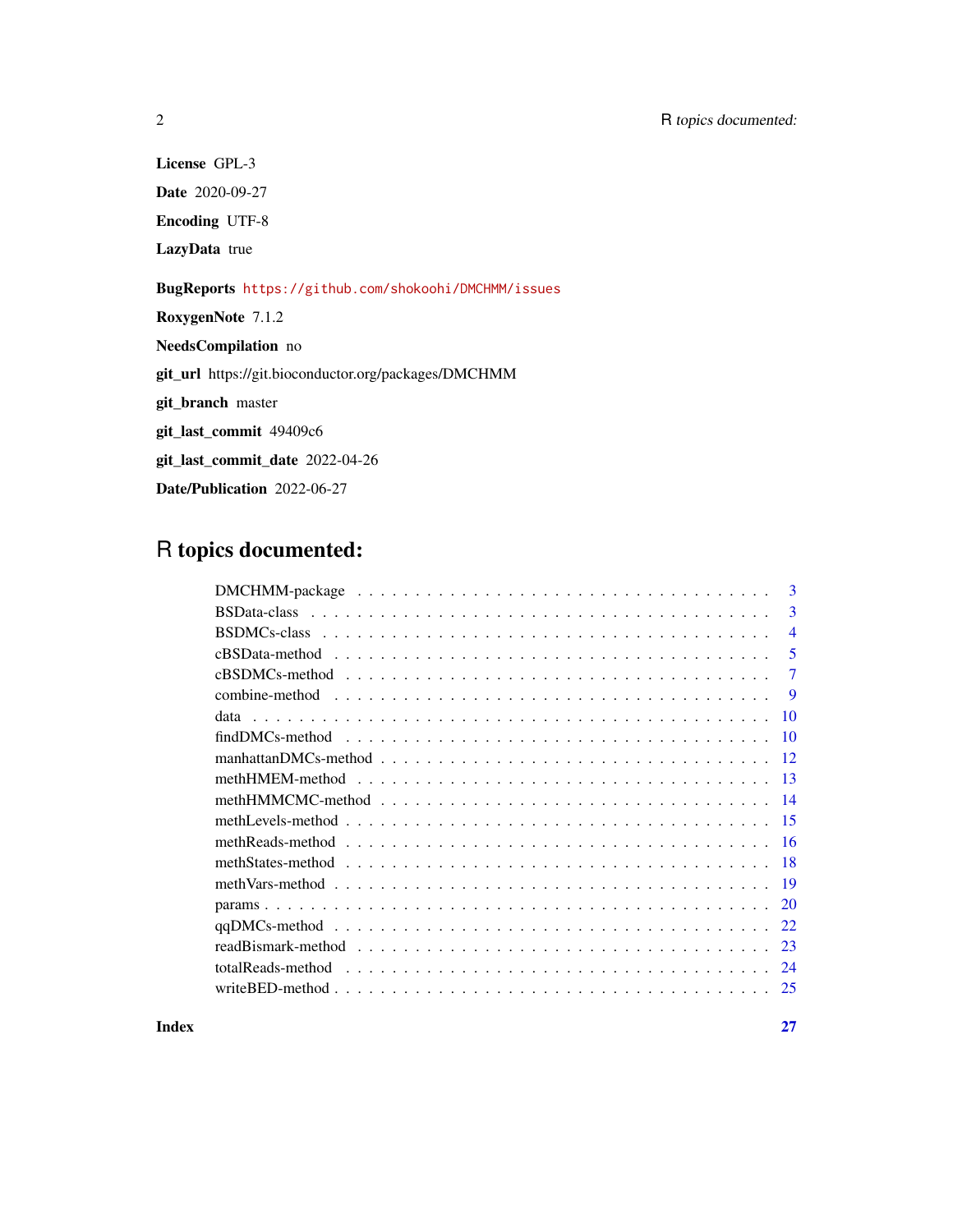License GPL-3

Date 2020-09-27

Encoding UTF-8

LazyData true

BugReports <https://github.com/shokoohi/DMCHMM/issues>

RoxygenNote 7.1.2

NeedsCompilation no

git\_url https://git.bioconductor.org/packages/DMCHMM

git\_branch master

git\_last\_commit 49409c6

git\_last\_commit\_date 2022-04-26

Date/Publication 2022-06-27

## R topics documented:

| 3               |
|-----------------|
| $\mathbf{3}$    |
| $\overline{4}$  |
| 5               |
| 7               |
| $\mathbf Q$     |
| 10              |
| 10              |
| -12             |
|                 |
| $\overline{14}$ |
| -15             |
| -16             |
| -18             |
|                 |
| 20              |
| 22              |
| 23              |
| 24              |
| 25              |

**Index** [27](#page-26-0)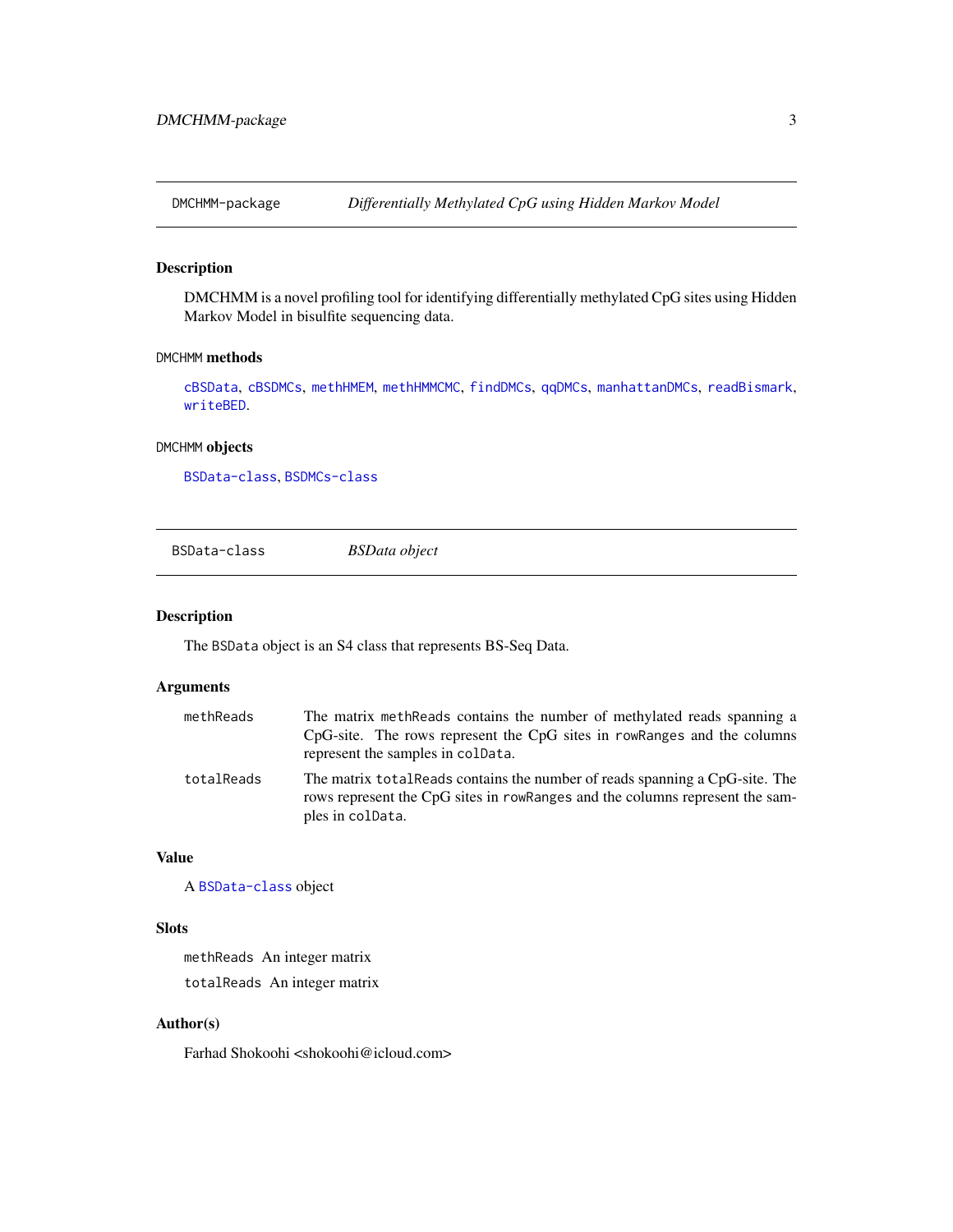<span id="page-2-0"></span>

## Description

DMCHMM is a novel profiling tool for identifying differentially methylated CpG sites using Hidden Markov Model in bisulfite sequencing data.

#### DMCHMM methods

[cBSData](#page-4-1), [cBSDMCs](#page-6-1), [methHMEM](#page-12-1), [methHMMCMC](#page-13-1), [findDMCs](#page-9-1), [qqDMCs](#page-21-1), [manhattanDMCs](#page-11-1), [readBismark](#page-22-1), [writeBED](#page-24-1).

#### DMCHMM objects

[BSData-class](#page-2-1), [BSDMCs-class](#page-3-1)

<span id="page-2-1"></span>BSData-class *BSData object*

#### Description

The BSData object is an S4 class that represents BS-Seq Data.

## Arguments

| methReads  | The matrix meth Reads contains the number of methylated reads spanning a<br>$CpG\text{-site}$ . The rows represent the $CpG$ sites in row Ranges and the columns<br>represent the samples in coldata. |
|------------|-------------------------------------------------------------------------------------------------------------------------------------------------------------------------------------------------------|
| totalReads | The matrix total Reads contains the number of reads spanning a CpG-site. The<br>rows represent the CpG sites in rowRanges and the columns represent the sam-<br>ples in colData.                      |

## Value

A [BSData-class](#page-2-1) object

#### Slots

methReads An integer matrix totalReads An integer matrix

## Author(s)

Farhad Shokoohi <shokoohi@icloud.com>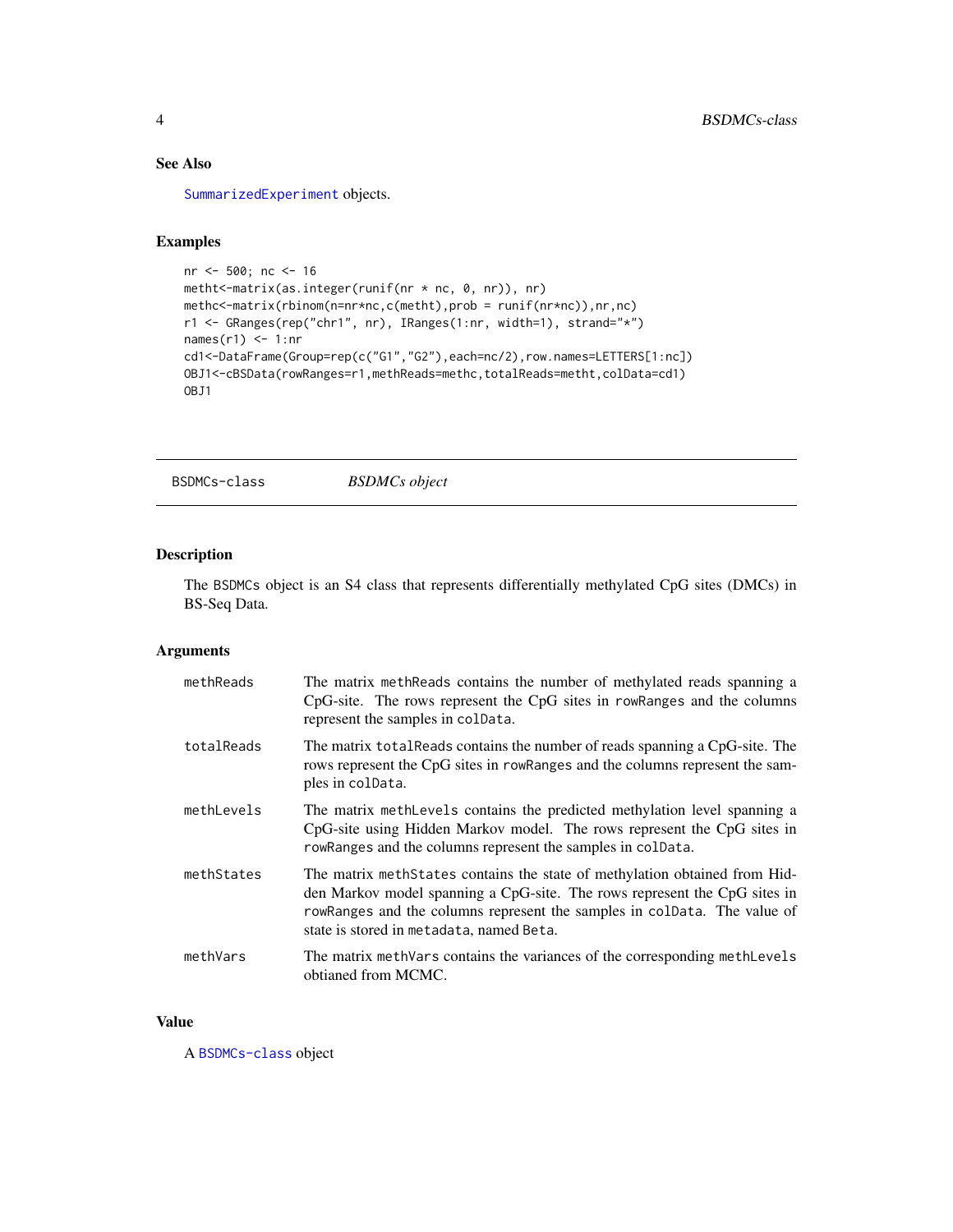## See Also

[SummarizedExperiment](#page-0-0) objects.

## Examples

```
nr <- 500; nc <- 16
metht<-matrix(as.integer(runif(nr * nc, 0, nr)), nr)
methc<-matrix(rbinom(n=nr*nc,c(metht),prob = runif(nr*nc)),nr,nc)
r1 <- GRanges(rep("chr1", nr), IRanges(1:nr, width=1), strand="*")
names(r1) <- 1:nr
cd1<-DataFrame(Group=rep(c("G1","G2"),each=nc/2),row.names=LETTERS[1:nc])
OBJ1<-cBSData(rowRanges=r1,methReads=methc,totalReads=metht,colData=cd1)
OBJ1
```
<span id="page-3-1"></span>BSDMCs-class *BSDMCs object*

## Description

The BSDMCs object is an S4 class that represents differentially methylated CpG sites (DMCs) in BS-Seq Data.

## Arguments

| methReads  | The matrix meth Reads contains the number of methylated reads spanning a<br>CpG-site. The rows represent the CpG sites in rowRanges and the columns<br>represent the samples in coldata.                                                                                         |
|------------|----------------------------------------------------------------------------------------------------------------------------------------------------------------------------------------------------------------------------------------------------------------------------------|
| totalReads | The matrix total Reads contains the number of reads spanning a CpG-site. The<br>rows represent the CpG sites in rowRanges and the columns represent the sam-<br>ples in colData.                                                                                                 |
| methLevels | The matrix methlevels contains the predicted methylation level spanning a<br>CpG-site using Hidden Markov model. The rows represent the CpG sites in<br>rowRanges and the columns represent the samples in colData.                                                              |
| methStates | The matrix meth States contains the state of methylation obtained from Hid-<br>den Markov model spanning a CpG-site. The rows represent the CpG sites in<br>rowRanges and the columns represent the samples in colData. The value of<br>state is stored in metadata, named Beta. |
| methVars   | The matrix methVars contains the variances of the corresponding methLevels<br>obtianed from MCMC.                                                                                                                                                                                |

#### Value

A [BSDMCs-class](#page-3-1) object

<span id="page-3-0"></span>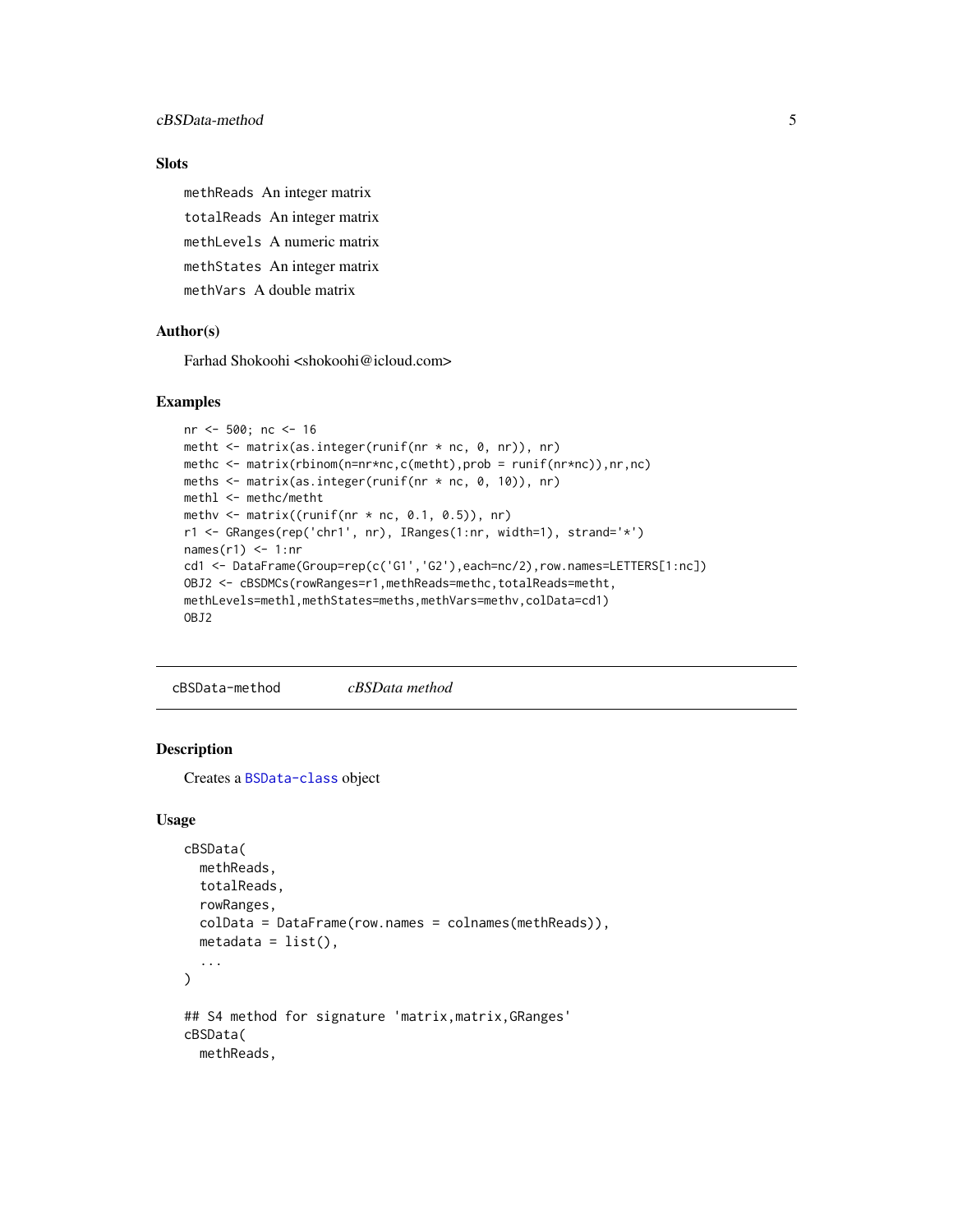## <span id="page-4-0"></span>Slots

methReads An integer matrix totalReads An integer matrix methLevels A numeric matrix methStates An integer matrix methVars A double matrix

#### Author(s)

Farhad Shokoohi <shokoohi@icloud.com>

#### Examples

```
nr <- 500; nc <- 16
metht \leq matrix(as.integer(runif(nr * nc, 0, nr)), nr)
methc <- matrix(rbinom(n=nr*nc,c(metht),prob = runif(nr*nc)),nr,nc)
meths <- matrix(as.integer(runif(nr * nc, 0, 10)), nr)
methl <- methc/metht
methv \leq matrix((runif(nr \star nc, 0.1, 0.5)), nr)
r1 <- GRanges(rep('chr1', nr), IRanges(1:nr, width=1), strand='*')
names(r1) <- 1:nr
cd1 <- DataFrame(Group=rep(c('G1','G2'),each=nc/2),row.names=LETTERS[1:nc])
OBJ2 <- cBSDMCs(rowRanges=r1,methReads=methc,totalReads=metht,
methLevels=methl,methStates=meths,methVars=methv,colData=cd1)
OBJ2
```
cBSData-method *cBSData method*

#### <span id="page-4-1"></span>Description

Creates a [BSData-class](#page-2-1) object

## Usage

```
cBSData(
 methReads,
  totalReads,
  rowRanges,
  colData = DataFrame(row.names = colnames(methReads)),
  metadata = list(),
  ...
\lambda## S4 method for signature 'matrix, matrix, GRanges'
cBSData(
 methReads,
```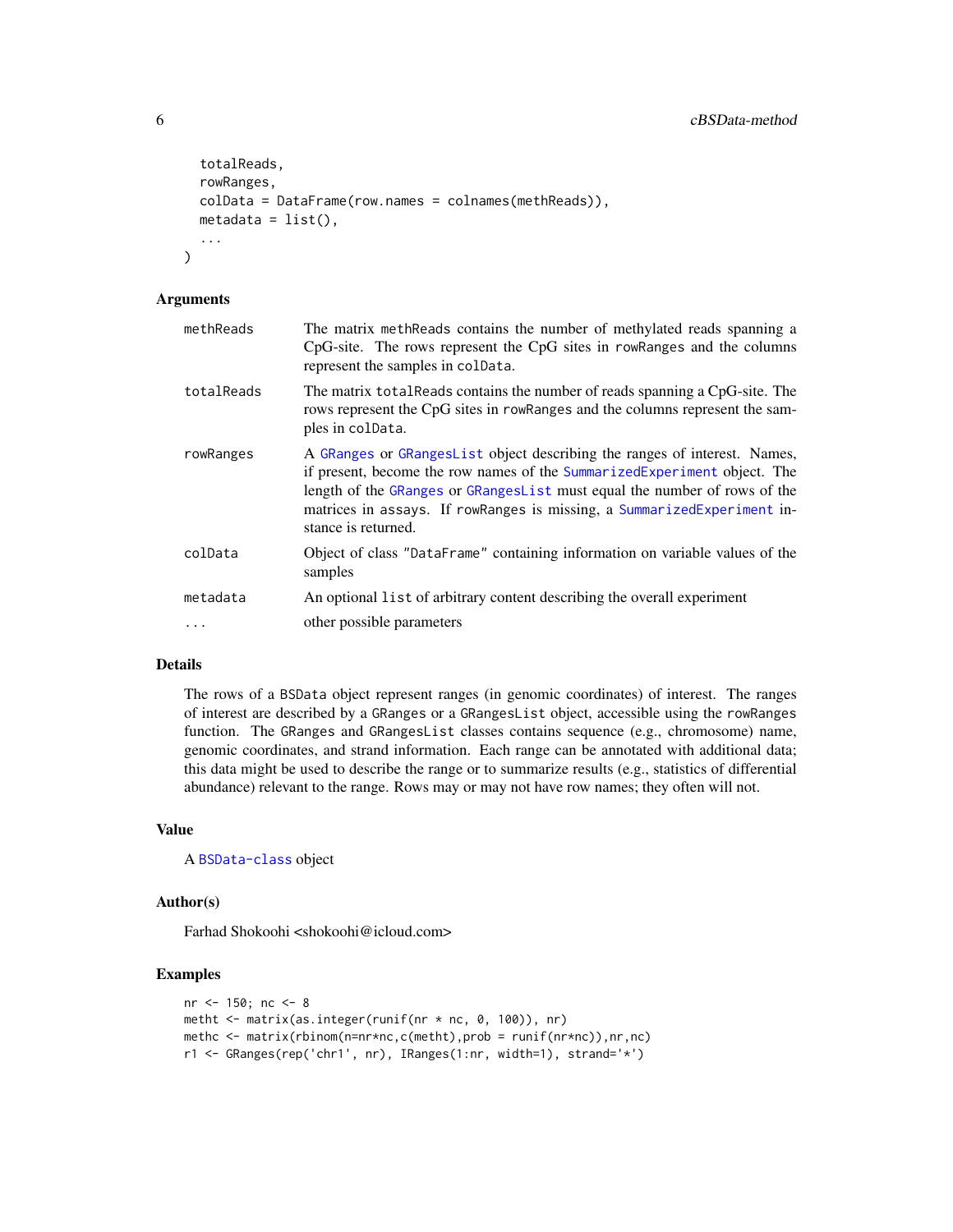```
totalReads,
rowRanges,
colData = DataFrame(row.names = colnames(methReads)),
metadata = list(),
...
```
#### Arguments

 $\mathcal{L}$ 

| methReads  | The matrix meth Reads contains the number of methylated reads spanning a<br>CpG-site. The rows represent the CpG sites in rowRanges and the columns<br>represent the samples in coldata.                                                                                                                                              |
|------------|---------------------------------------------------------------------------------------------------------------------------------------------------------------------------------------------------------------------------------------------------------------------------------------------------------------------------------------|
| totalReads | The matrix total Reads contains the number of reads spanning a CpG-site. The<br>rows represent the CpG sites in rowRanges and the columns represent the sam-<br>ples in colData.                                                                                                                                                      |
| rowRanges  | A GRanges or GRanges List object describing the ranges of interest. Names,<br>if present, become the row names of the SummarizedExperiment object. The<br>length of the GRanges or GRangesList must equal the number of rows of the<br>matrices in assays. If rowRanges is missing, a SummarizedExperiment in-<br>stance is returned. |
| colData    | Object of class "DataFrame" containing information on variable values of the<br>samples                                                                                                                                                                                                                                               |
| metadata   | An optional list of arbitrary content describing the overall experiment                                                                                                                                                                                                                                                               |
| .          | other possible parameters                                                                                                                                                                                                                                                                                                             |

#### Details

The rows of a BSData object represent ranges (in genomic coordinates) of interest. The ranges of interest are described by a GRanges or a GRangesList object, accessible using the rowRanges function. The GRanges and GRangesList classes contains sequence (e.g., chromosome) name, genomic coordinates, and strand information. Each range can be annotated with additional data; this data might be used to describe the range or to summarize results (e.g., statistics of differential abundance) relevant to the range. Rows may or may not have row names; they often will not.

## Value

```
A BSData-class object
```
#### Author(s)

Farhad Shokoohi <shokoohi@icloud.com>

```
nr <- 150; nc <- 8
metht <- matrix(as.integer(runif(nr * nc, 0, 100)), nr)
methc <- matrix(rbinom(n=nr*nc,c(metht),prob = runif(nr*nc)),nr,nc)
r1 <- GRanges(rep('chr1', nr), IRanges(1:nr, width=1), strand='*')
```
<span id="page-5-0"></span>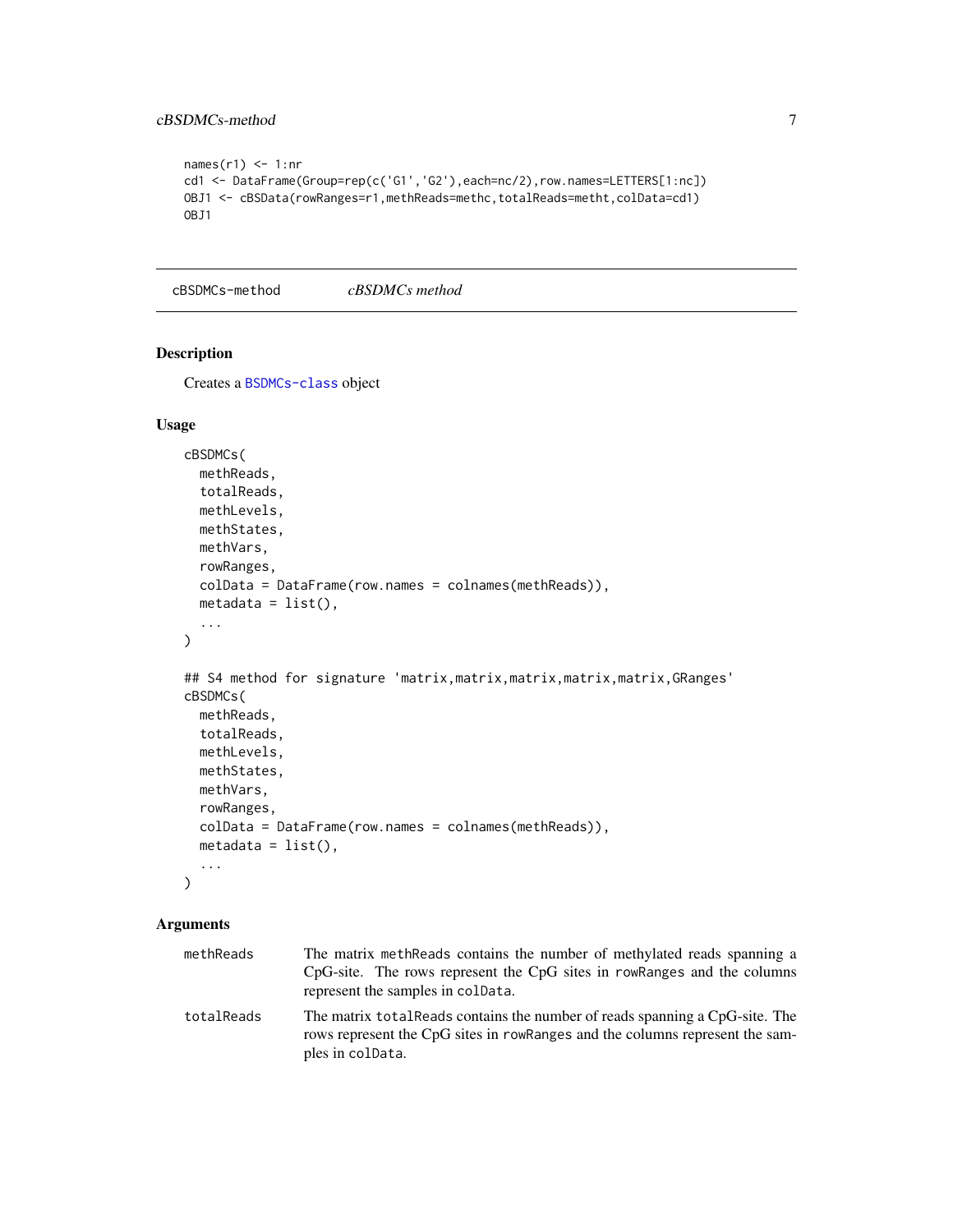## <span id="page-6-0"></span>cBSDMCs-method 7

```
names(r1) <- 1:nr
cd1 <- DataFrame(Group=rep(c('G1','G2'),each=nc/2),row.names=LETTERS[1:nc])
OBJ1 <- cBSData(rowRanges=r1,methReads=methc,totalReads=metht,colData=cd1)
OBJ1
```
cBSDMCs-method *cBSDMCs method*

#### <span id="page-6-1"></span>Description

Creates a [BSDMCs-class](#page-3-1) object

#### Usage

```
cBSDMCs(
 methReads,
  totalReads,
 methLevels,
 methStates,
 methVars,
  rowRanges,
  colData = DataFrame(row.names = colnames(methReads)),
 metadata = list(),...
)
## S4 method for signature 'matrix,matrix,matrix,matrix,matrix,GRanges'
cBSDMCs(
 methReads,
  totalReads,
 methLevels,
 methStates,
 methVars,
  rowRanges,
  colData = DataFrame(row.names = colnames(methReads)),
  metadata = list(),...
\mathcal{L}
```
## Arguments

| methReads  | The matrix meth Reads contains the number of methylated reads spanning a<br>CpG-site. The rows represent the CpG sites in rowRanges and the columns<br>represent the samples in coldata. |
|------------|------------------------------------------------------------------------------------------------------------------------------------------------------------------------------------------|
| totalReads | The matrix total Reads contains the number of reads spanning a CpG-site. The<br>rows represent the CpG sites in rowRanges and the columns represent the sam-<br>ples in colData.         |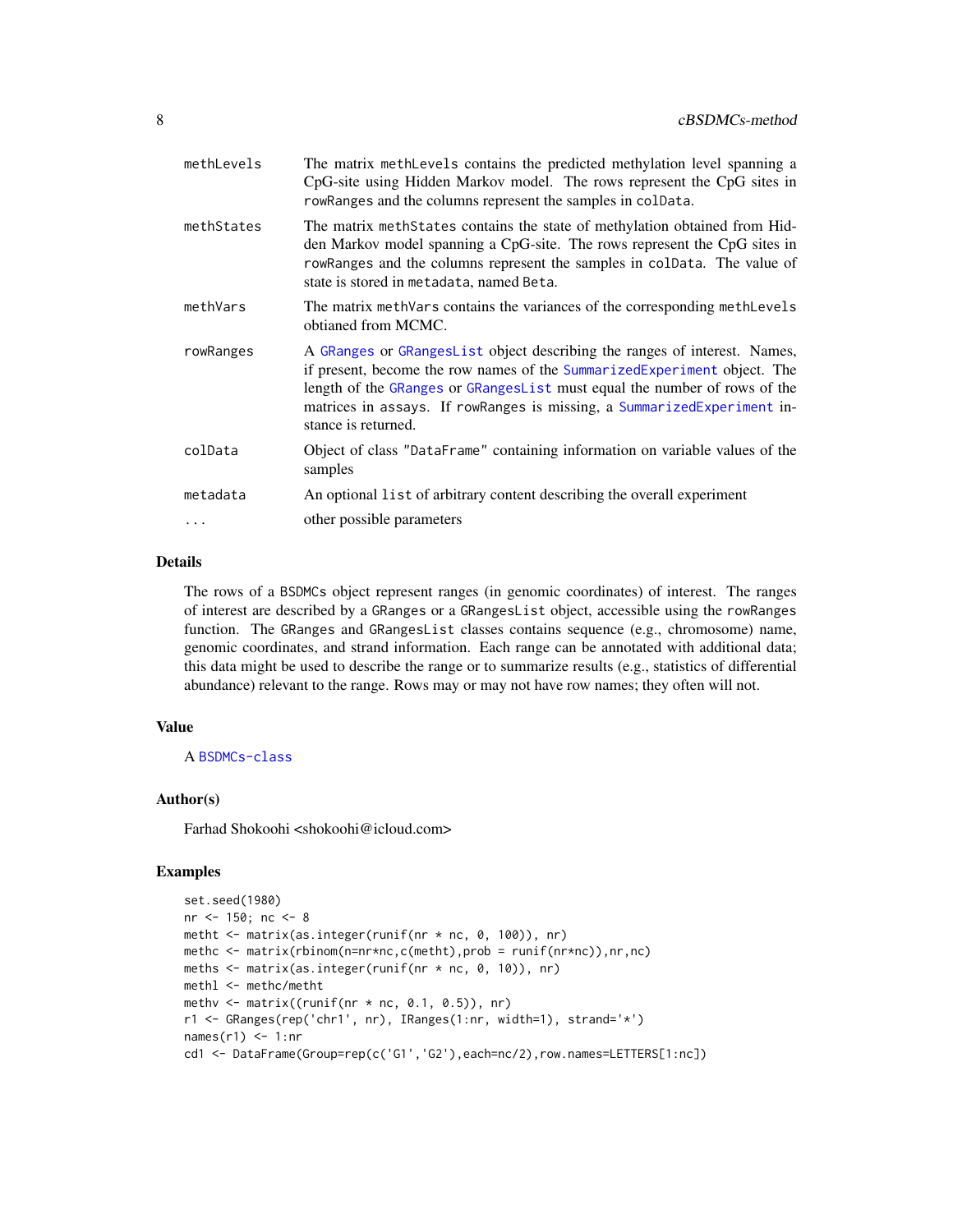<span id="page-7-0"></span>

| methLevels | The matrix methLevels contains the predicted methylation level spanning a<br>CpG-site using Hidden Markov model. The rows represent the CpG sites in<br>rowRanges and the columns represent the samples in colData.                                                                                                                  |
|------------|--------------------------------------------------------------------------------------------------------------------------------------------------------------------------------------------------------------------------------------------------------------------------------------------------------------------------------------|
| methStates | The matrix meth States contains the state of methylation obtained from Hid-<br>den Markov model spanning a CpG-site. The rows represent the CpG sites in<br>rowRanges and the columns represent the samples in colData. The value of<br>state is stored in metadata, named Beta.                                                     |
| methVars   | The matrix methVars contains the variances of the corresponding methLevels<br>obtianed from MCMC.                                                                                                                                                                                                                                    |
| rowRanges  | A GRanges or GRangesList object describing the ranges of interest. Names,<br>if present, become the row names of the SummarizedExperiment object. The<br>length of the GRanges or GRangesList must equal the number of rows of the<br>matrices in assays. If rowRanges is missing, a SummarizedExperiment in-<br>stance is returned. |
| colData    | Object of class "DataFrame" containing information on variable values of the<br>samples                                                                                                                                                                                                                                              |
| metadata   | An optional list of arbitrary content describing the overall experiment                                                                                                                                                                                                                                                              |
| $\ddots$   | other possible parameters                                                                                                                                                                                                                                                                                                            |
|            |                                                                                                                                                                                                                                                                                                                                      |

#### Details

The rows of a BSDMCs object represent ranges (in genomic coordinates) of interest. The ranges of interest are described by a GRanges or a GRangesList object, accessible using the rowRanges function. The GRanges and GRangesList classes contains sequence (e.g., chromosome) name, genomic coordinates, and strand information. Each range can be annotated with additional data; this data might be used to describe the range or to summarize results (e.g., statistics of differential abundance) relevant to the range. Rows may or may not have row names; they often will not.

## Value

A [BSDMCs-class](#page-3-1)

#### Author(s)

Farhad Shokoohi <shokoohi@icloud.com>

```
set.seed(1980)
nr <- 150; nc <- 8
metht <- matrix(as.integer(runif(nr * nc, 0, 100)), nr)
methc <- matrix(rbinom(n=nr*nc,c(metht),prob = runif(nr*nc)),nr,nc)
meths <- matrix(as.integer(runif(nr * nc, 0, 10)), nr)
methl <- methc/metht
methv \leq matrix((runif(nr * nc, 0.1, 0.5)), nr)
r1 <- GRanges(rep('chr1', nr), IRanges(1:nr, width=1), strand='*')
names(r1) <- 1:nr
cd1 <- DataFrame(Group=rep(c('G1','G2'),each=nc/2),row.names=LETTERS[1:nc])
```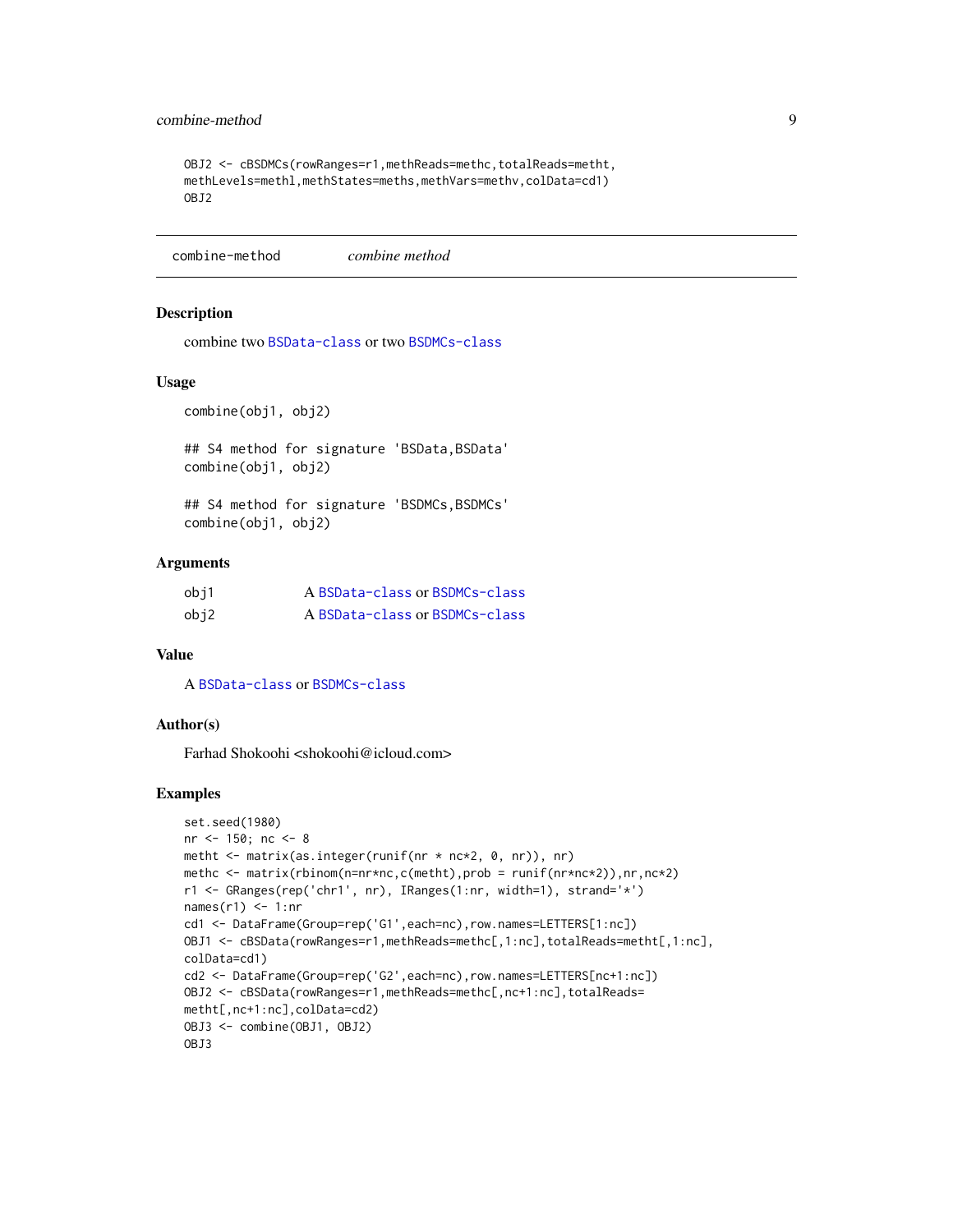## <span id="page-8-0"></span>combine-method 9

```
OBJ2 <- cBSDMCs(rowRanges=r1,methReads=methc,totalReads=metht,
methLevels=methl,methStates=meths,methVars=methv,colData=cd1)
OBJ2
```
combine-method *combine method*

#### Description

combine two [BSData-class](#page-2-1) or two [BSDMCs-class](#page-3-1)

#### Usage

combine(obj1, obj2)

## S4 method for signature 'BSData, BSData' combine(obj1, obj2)

## S4 method for signature 'BSDMCs, BSDMCs' combine(obj1, obj2)

## Arguments

| obi1 | A BSData-class or BSDMCs-class |
|------|--------------------------------|
| obj2 | A BSData-class or BSDMCs-class |

#### Value

A [BSData-class](#page-2-1) or [BSDMCs-class](#page-3-1)

#### Author(s)

Farhad Shokoohi <shokoohi@icloud.com>

```
set.seed(1980)
nr <- 150; nc <- 8
metht <- matrix(as.integer(runif(nr * nc*2, 0, nr)), nr)
methc <- matrix(rbinom(n=nr*nc,c(metht),prob = runif(nr*nc*2)),nr,nc*2)
r1 <- GRanges(rep('chr1', nr), IRanges(1:nr, width=1), strand='*')
names(r1) <- 1:nr
cd1 <- DataFrame(Group=rep('G1',each=nc),row.names=LETTERS[1:nc])
OBJ1 <- cBSData(rowRanges=r1,methReads=methc[,1:nc],totalReads=metht[,1:nc],
colData=cd1)
cd2 <- DataFrame(Group=rep('G2',each=nc),row.names=LETTERS[nc+1:nc])
OBJ2 <- cBSData(rowRanges=r1,methReads=methc[,nc+1:nc],totalReads=
metht[,nc+1:nc],colData=cd2)
OBJ3 <- combine(OBJ1, OBJ2)
OBJ3
```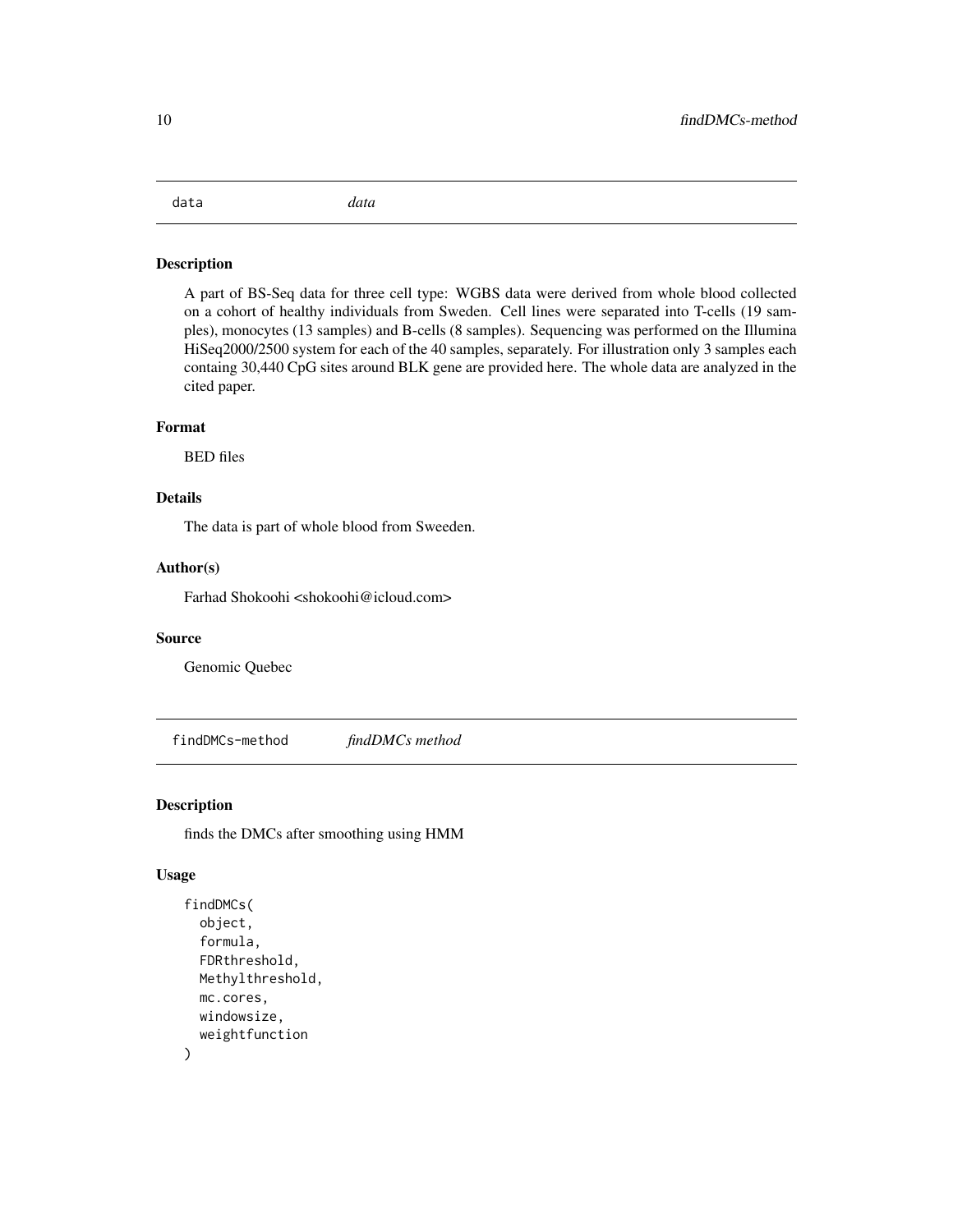## <span id="page-9-0"></span>data *data*

## Description

A part of BS-Seq data for three cell type: WGBS data were derived from whole blood collected on a cohort of healthy individuals from Sweden. Cell lines were separated into T-cells (19 samples), monocytes (13 samples) and B-cells (8 samples). Sequencing was performed on the Illumina HiSeq2000/2500 system for each of the 40 samples, separately. For illustration only 3 samples each containg 30,440 CpG sites around BLK gene are provided here. The whole data are analyzed in the cited paper.

## Format

BED files

## Details

The data is part of whole blood from Sweeden.

## Author(s)

Farhad Shokoohi <shokoohi@icloud.com>

#### Source

Genomic Quebec

findDMCs-method *findDMCs method*

## <span id="page-9-1"></span>Description

finds the DMCs after smoothing using HMM

#### Usage

```
findDMCs(
  object,
  formula,
  FDRthreshold,
 Methylthreshold,
  mc.cores,
 windowsize,
  weightfunction
)
```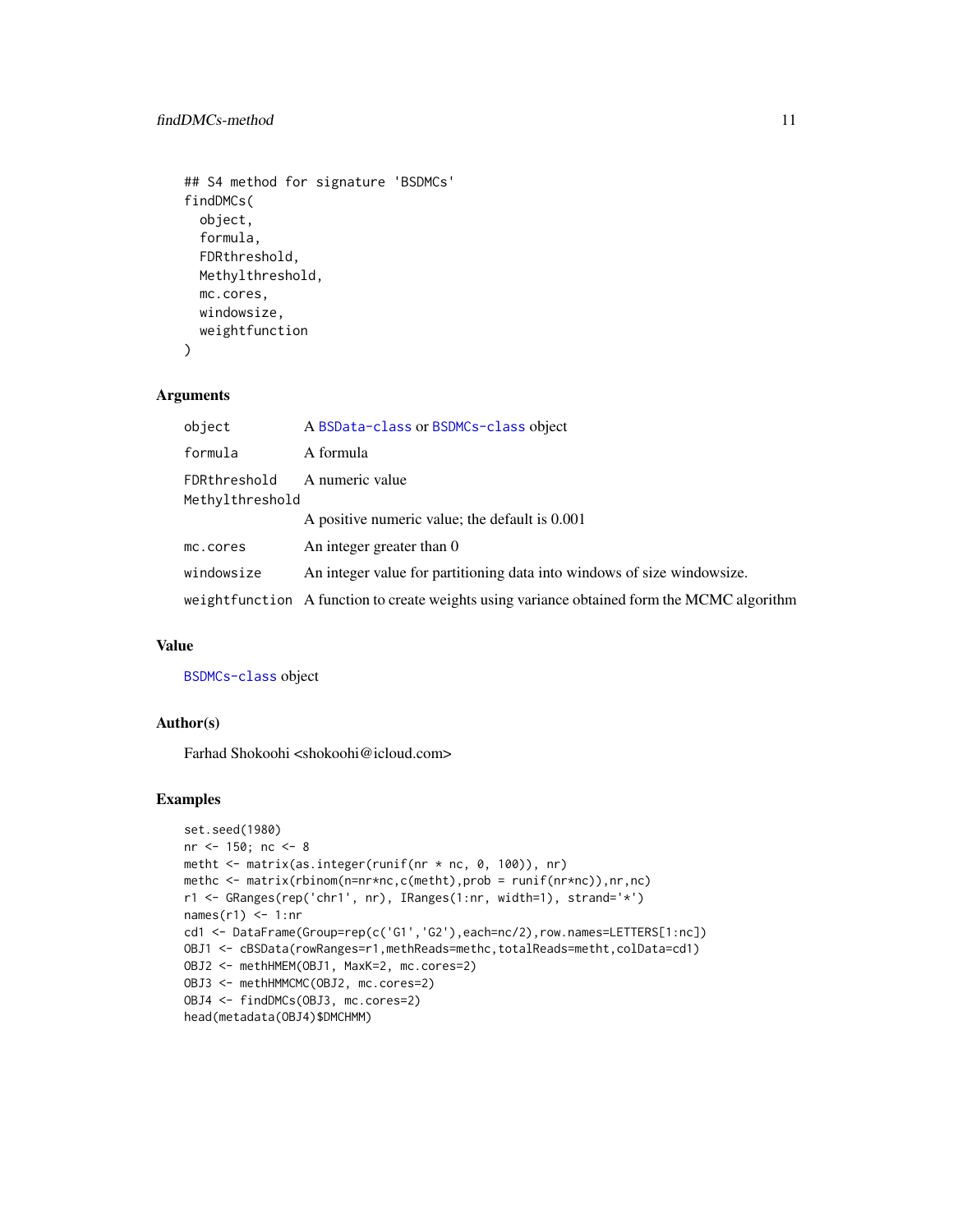```
## S4 method for signature 'BSDMCs'
findDMCs(
 object,
  formula,
 FDRthreshold,
 Methylthreshold,
 mc.cores,
 windowsize,
 weightfunction
)
```
## Arguments

| object                                             | A BSData-class or BSDMCs-class object                                                       |  |
|----------------------------------------------------|---------------------------------------------------------------------------------------------|--|
| formula                                            | A formula                                                                                   |  |
| A numeric value<br>FDRthreshold<br>Methylthreshold |                                                                                             |  |
|                                                    | A positive numeric value; the default is 0.001                                              |  |
| mc.cores                                           | An integer greater than 0                                                                   |  |
| windowsize                                         | An integer value for partitioning data into windows of size windowsize.                     |  |
|                                                    | weightfunction A function to create weights using variance obtained form the MCMC algorithm |  |

## Value

[BSDMCs-class](#page-3-1) object

#### Author(s)

Farhad Shokoohi <shokoohi@icloud.com>

```
set.seed(1980)
nr <- 150; nc <- 8
metht <- matrix(as.integer(runif(nr * nc, 0, 100)), nr)
methc <- matrix(rbinom(n=nr*nc,c(metht),prob = runif(nr*nc)),nr,nc)
r1 <- GRanges(rep('chr1', nr), IRanges(1:nr, width=1), strand='*')
names(r1) <- 1:nr
cd1 <- DataFrame(Group=rep(c('G1','G2'),each=nc/2),row.names=LETTERS[1:nc])
OBJ1 <- cBSData(rowRanges=r1,methReads=methc,totalReads=metht,colData=cd1)
OBJ2 <- methHMEM(OBJ1, MaxK=2, mc.cores=2)
OBJ3 <- methHMMCMC(OBJ2, mc.cores=2)
OBJ4 <- findDMCs(OBJ3, mc.cores=2)
head(metadata(OBJ4)$DMCHMM)
```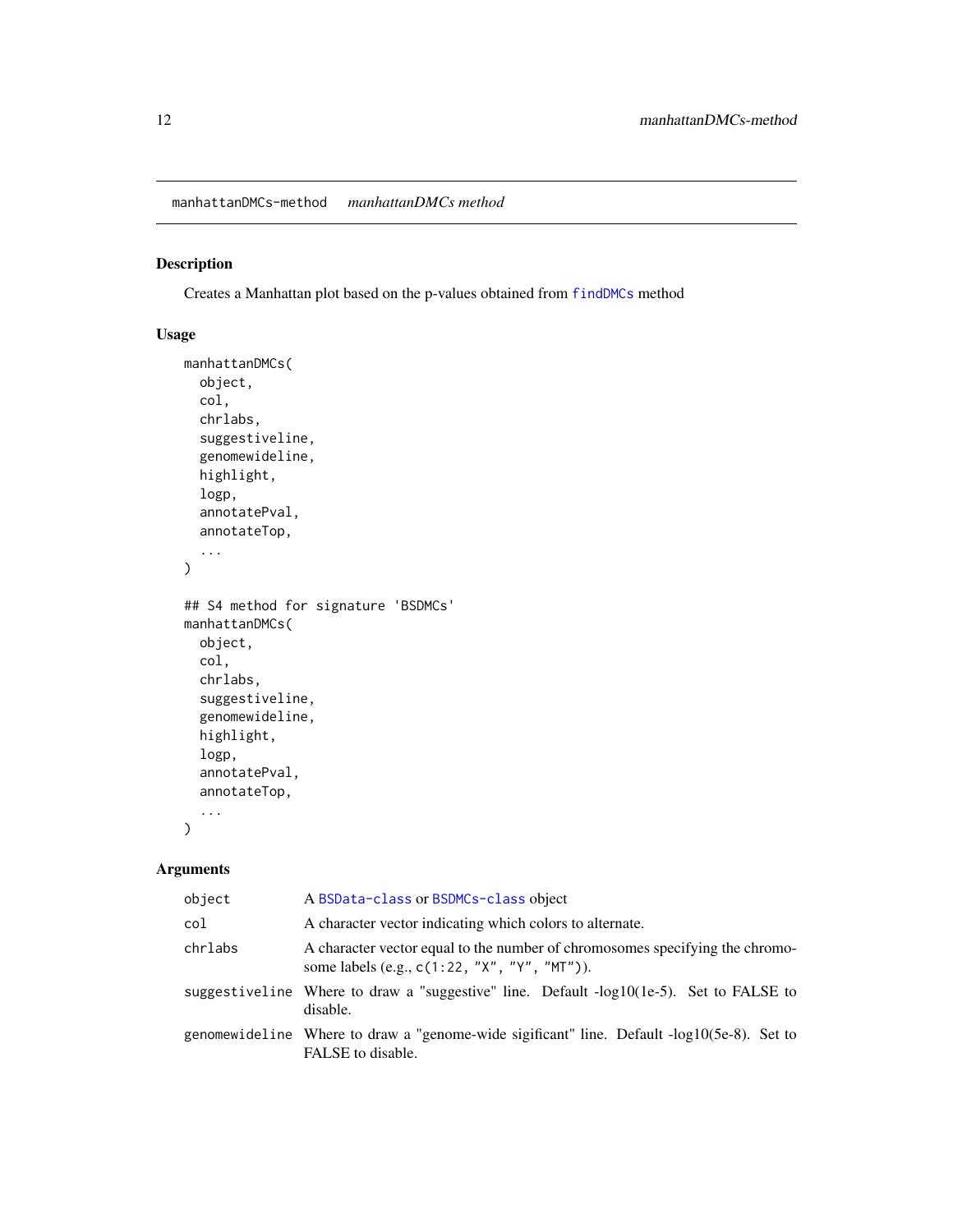## <span id="page-11-1"></span><span id="page-11-0"></span>Description

Creates a Manhattan plot based on the p-values obtained from [findDMCs](#page-9-1) method

## Usage

```
manhattanDMCs(
  object,
  col,
  chrlabs,
  suggestiveline,
  genomewideline,
 highlight,
  logp,
  annotatePval,
  annotateTop,
  ...
)
## S4 method for signature 'BSDMCs'
manhattanDMCs(
 object,
  col,
  chrlabs,
  suggestiveline,
  genomewideline,
 highlight,
  logp,
  annotatePval,
  annotateTop,
  ...
\mathcal{L}
```
## Arguments

| object  | A BSData-class or BSDMCs-class object                                                                                            |
|---------|----------------------------------------------------------------------------------------------------------------------------------|
| col     | A character vector indicating which colors to alternate.                                                                         |
| chrlabs | A character vector equal to the number of chromosomes specifying the chromo-<br>some labels (e.g., $c(1:22, "X", "Y", "MT"))$ ). |
|         | suggestiveline Where to draw a "suggestive" line. Default -log10(1e-5). Set to FALSE to<br>disable.                              |
|         | genomewideline Where to draw a "genome-wide sigificant" line. Default -log10(5e-8). Set to<br>FALSE to disable.                  |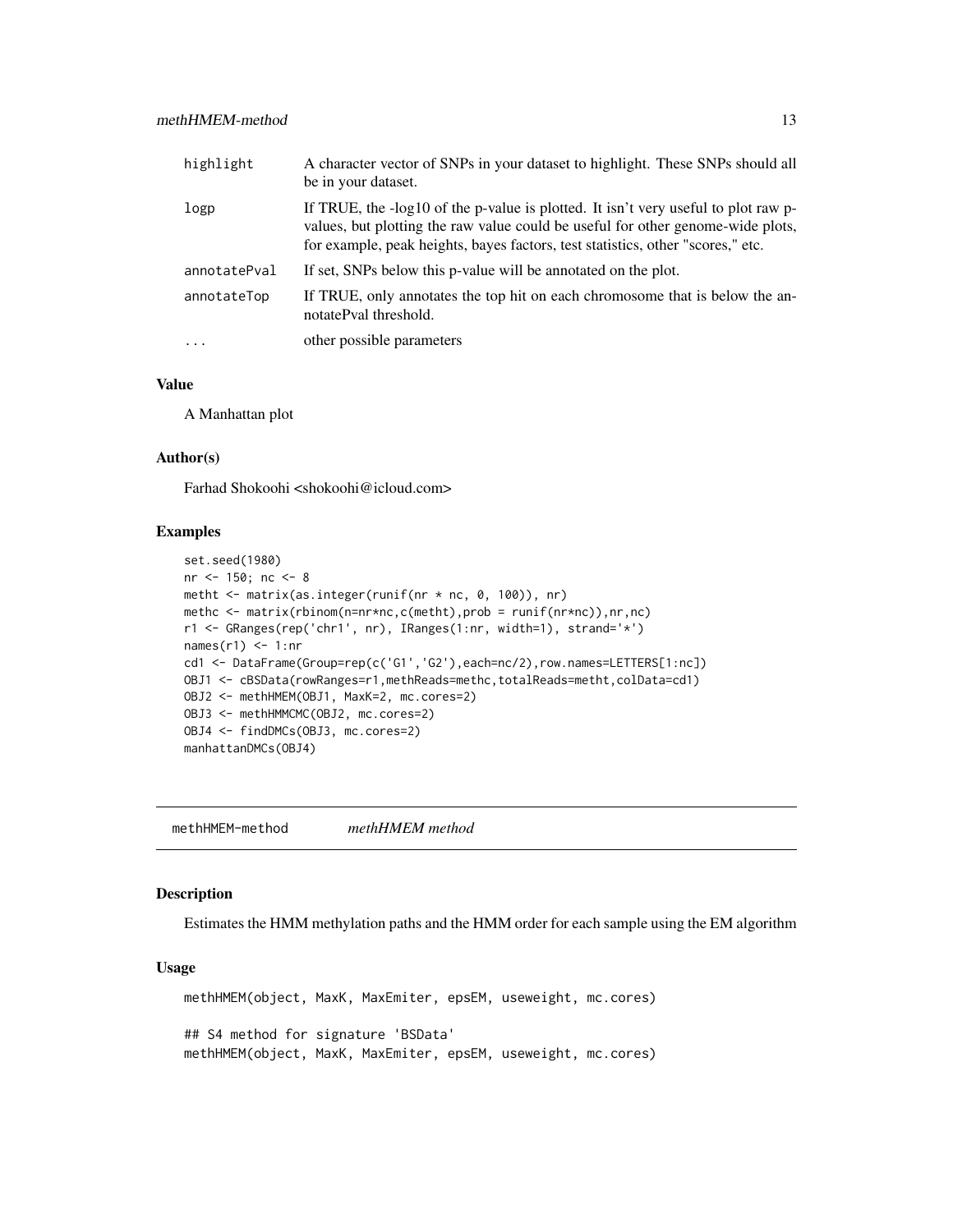<span id="page-12-0"></span>

| highlight    | A character vector of SNPs in your dataset to highlight. These SNPs should all<br>be in your dataset.                                                                                                                                                    |
|--------------|----------------------------------------------------------------------------------------------------------------------------------------------------------------------------------------------------------------------------------------------------------|
| logp         | If TRUE, the -log10 of the p-value is plotted. It isn't very useful to plot raw p-<br>values, but plotting the raw value could be useful for other genome-wide plots,<br>for example, peak heights, bayes factors, test statistics, other "scores," etc. |
| annotatePval | If set, SNPs below this p-value will be annotated on the plot.                                                                                                                                                                                           |
| annotateTop  | If TRUE, only annotates the top hit on each chromosome that is below the an-<br>notatePval threshold.                                                                                                                                                    |
| $\ddots$     | other possible parameters                                                                                                                                                                                                                                |

#### Value

A Manhattan plot

#### Author(s)

Farhad Shokoohi <shokoohi@icloud.com>

## Examples

```
set.seed(1980)
nr <- 150; nc <- 8
metht <- matrix(as.integer(runif(nr * nc, 0, 100)), nr)
methc <- matrix(rbinom(n=nr*nc,c(metht),prob = runif(nr*nc)),nr,nc)
r1 <- GRanges(rep('chr1', nr), IRanges(1:nr, width=1), strand='*')
names(r1) <- 1:nr
cd1 <- DataFrame(Group=rep(c('G1','G2'),each=nc/2),row.names=LETTERS[1:nc])
OBJ1 <- cBSData(rowRanges=r1,methReads=methc,totalReads=metht,colData=cd1)
OBJ2 <- methHMEM(OBJ1, MaxK=2, mc.cores=2)
OBJ3 <- methHMMCMC(OBJ2, mc.cores=2)
OBJ4 <- findDMCs(OBJ3, mc.cores=2)
manhattanDMCs(OBJ4)
```
methHMEM-method *methHMEM method*

#### <span id="page-12-1"></span>Description

Estimates the HMM methylation paths and the HMM order for each sample using the EM algorithm

#### Usage

```
methHMEM(object, MaxK, MaxEmiter, epsEM, useweight, mc.cores)
## S4 method for signature 'BSData'
methHMEM(object, MaxK, MaxEmiter, epsEM, useweight, mc.cores)
```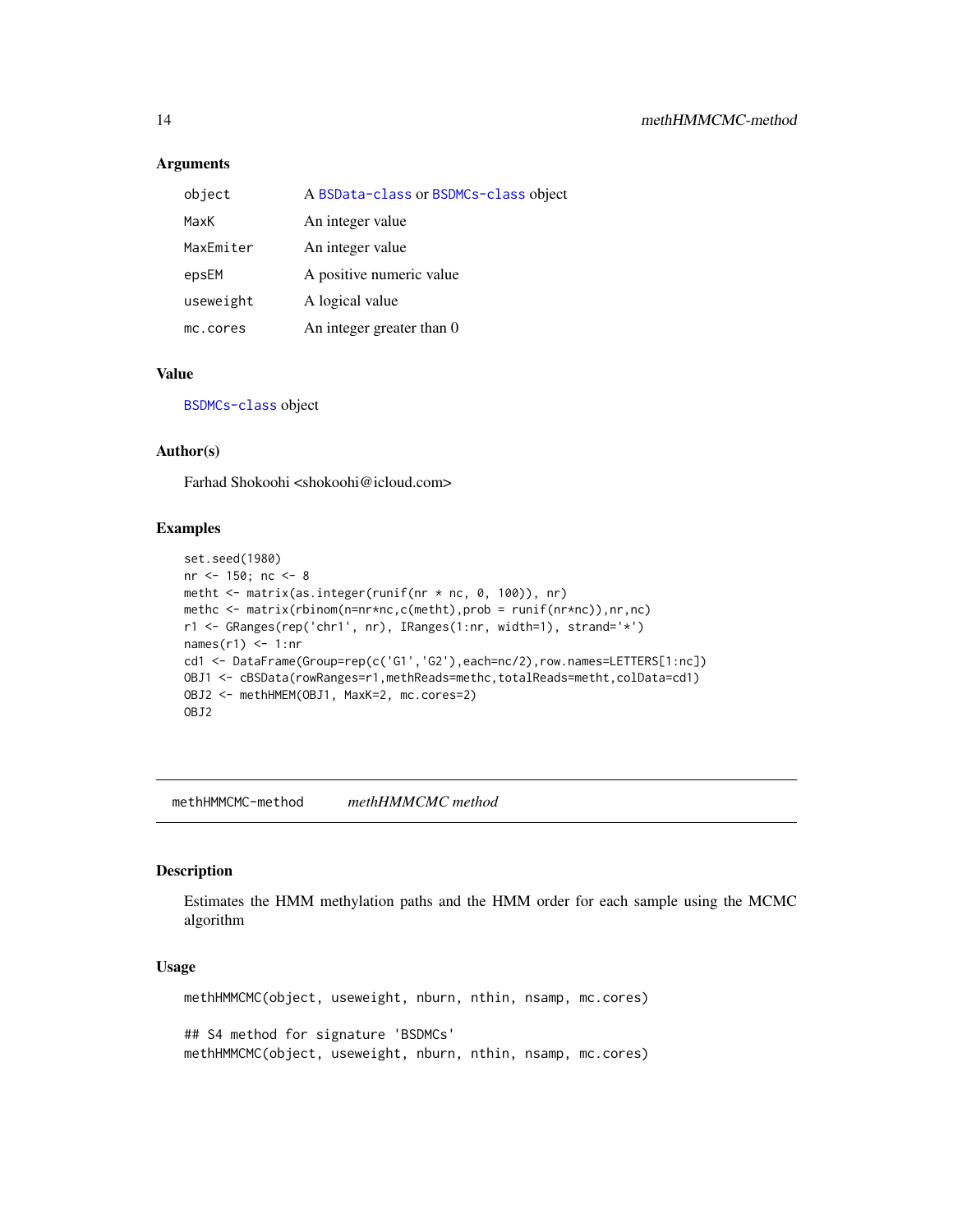#### **Arguments**

| object    | A BSData-class or BSDMCs-class object |
|-----------|---------------------------------------|
| MaxK      | An integer value                      |
| MaxEmiter | An integer value                      |
| epsEM     | A positive numeric value              |
| useweight | A logical value                       |
| mc.cores  | An integer greater than 0             |

#### Value

[BSDMCs-class](#page-3-1) object

#### Author(s)

Farhad Shokoohi <shokoohi@icloud.com>

#### Examples

```
set.seed(1980)
nr <- 150; nc <- 8
metht <- matrix(as.integer(runif(nr * nc, 0, 100)), nr)
methc <- matrix(rbinom(n=nr*nc,c(metht),prob = runif(nr*nc)),nr,nc)
r1 <- GRanges(rep('chr1', nr), IRanges(1:nr, width=1), strand='*')
names(r1) <- 1:nr
cd1 <- DataFrame(Group=rep(c('G1','G2'),each=nc/2),row.names=LETTERS[1:nc])
OBJ1 <- cBSData(rowRanges=r1,methReads=methc,totalReads=metht,colData=cd1)
OBJ2 <- methHMEM(OBJ1, MaxK=2, mc.cores=2)
OBJ2
```
methHMMCMC-method *methHMMCMC method*

#### <span id="page-13-1"></span>Description

Estimates the HMM methylation paths and the HMM order for each sample using the MCMC algorithm

#### Usage

methHMMCMC(object, useweight, nburn, nthin, nsamp, mc.cores) ## S4 method for signature 'BSDMCs' methHMMCMC(object, useweight, nburn, nthin, nsamp, mc.cores)

<span id="page-13-0"></span>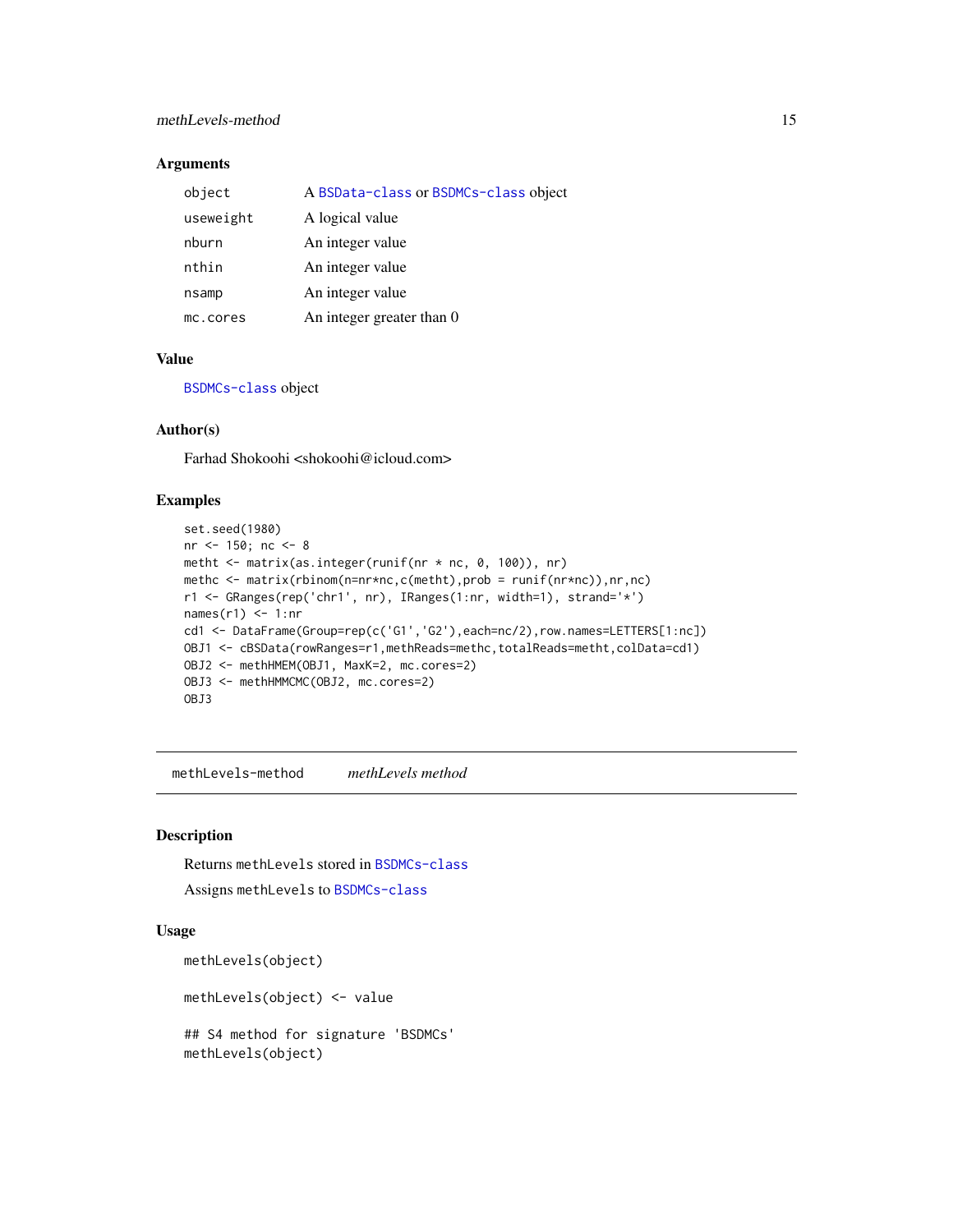## <span id="page-14-0"></span>Arguments

| object    | A BSData-class or BSDMCs-class object |
|-----------|---------------------------------------|
| useweight | A logical value                       |
| nburn     | An integer value                      |
| nthin     | An integer value                      |
| nsamp     | An integer value                      |
| mc.cores  | An integer greater than 0             |

## Value

[BSDMCs-class](#page-3-1) object

#### Author(s)

Farhad Shokoohi <shokoohi@icloud.com>

#### Examples

```
set.seed(1980)
nr <- 150; nc <- 8
metht <- matrix(as.integer(runif(nr * nc, 0, 100)), nr)
methc <- matrix(rbinom(n=nr*nc,c(metht),prob = runif(nr*nc)),nr,nc)
r1 <- GRanges(rep('chr1', nr), IRanges(1:nr, width=1), strand='*')
names(r1) <- 1:nr
cd1 <- DataFrame(Group=rep(c('G1','G2'),each=nc/2),row.names=LETTERS[1:nc])
OBJ1 <- cBSData(rowRanges=r1,methReads=methc,totalReads=metht,colData=cd1)
OBJ2 <- methHMEM(OBJ1, MaxK=2, mc.cores=2)
OBJ3 <- methHMMCMC(OBJ2, mc.cores=2)
OBJ3
```
methLevels-method *methLevels method*

## Description

Returns methLevels stored in [BSDMCs-class](#page-3-1) Assigns methLevels to [BSDMCs-class](#page-3-1)

#### Usage

```
methLevels(object)
```
methLevels(object) <- value

## S4 method for signature 'BSDMCs' methLevels(object)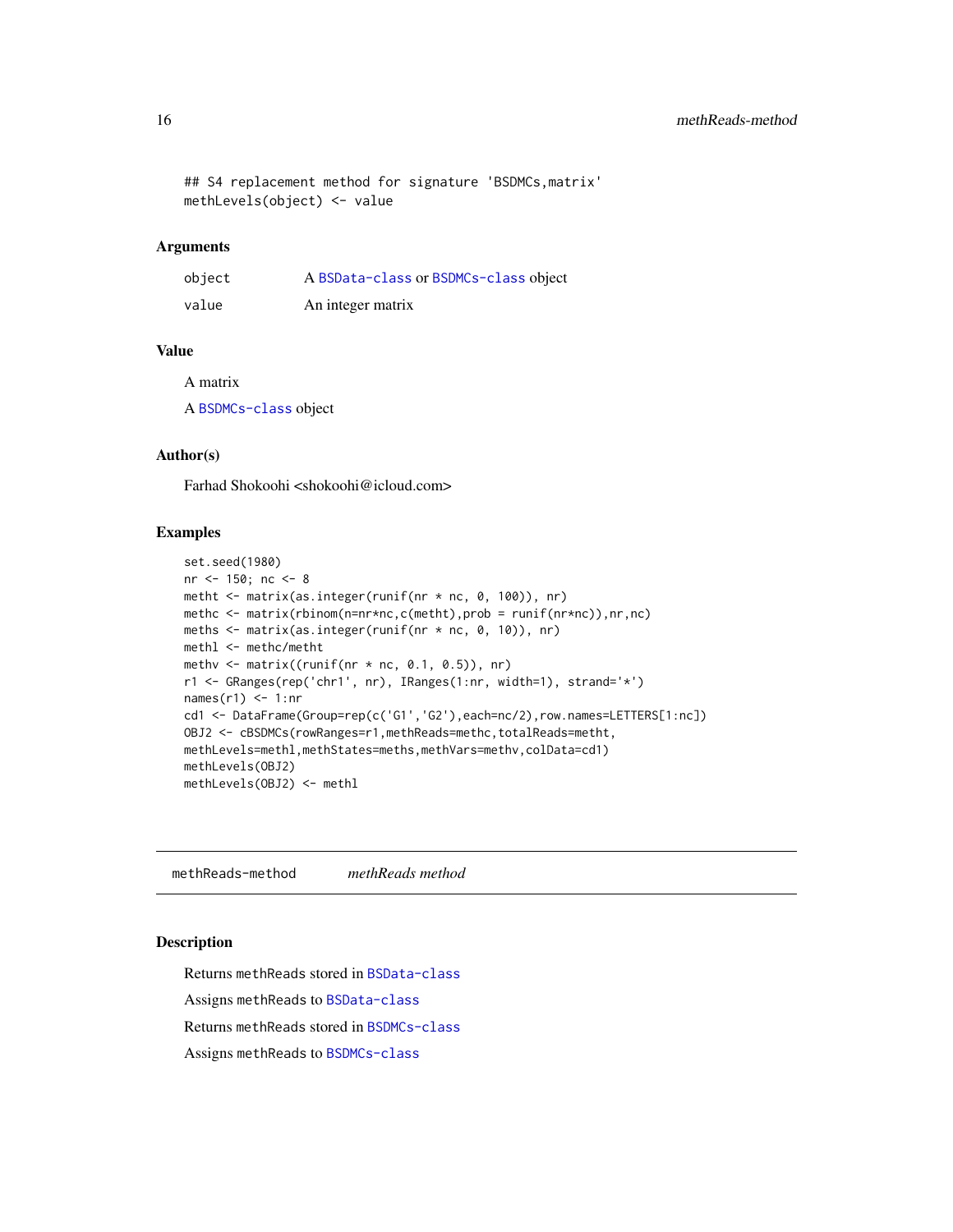<span id="page-15-0"></span>## S4 replacement method for signature 'BSDMCs,matrix' methLevels(object) <- value

## Arguments

| object | A BSData-class or BSDMCs-class object |
|--------|---------------------------------------|
| value  | An integer matrix                     |

## Value

A matrix

A [BSDMCs-class](#page-3-1) object

#### Author(s)

Farhad Shokoohi <shokoohi@icloud.com>

#### Examples

```
set.seed(1980)
nr <- 150; nc <- 8
metht <- matrix(as.integer(runif(nr * nc, 0, 100)), nr)
methc <- matrix(rbinom(n=nr*nc,c(metht),prob = runif(nr*nc)),nr,nc)
meths <- matrix(as.integer(runif(nr * nc, 0, 10)), nr)
methl <- methc/metht
methv \leq matrix((runif(nr \star nc, 0.1, 0.5)), nr)
r1 <- GRanges(rep('chr1', nr), IRanges(1:nr, width=1), strand='*')
names(r1) <- 1:nr
cd1 <- DataFrame(Group=rep(c('G1','G2'),each=nc/2),row.names=LETTERS[1:nc])
OBJ2 <- cBSDMCs(rowRanges=r1,methReads=methc,totalReads=metht,
methLevels=methl,methStates=meths,methVars=methv,colData=cd1)
methLevels(OBJ2)
methLevels(OBJ2) <- methl
```
methReads-method *methReads method*

#### Description

Returns methReads stored in [BSData-class](#page-2-1)

Assigns methReads to [BSData-class](#page-2-1)

Returns methReads stored in [BSDMCs-class](#page-3-1)

Assigns methReads to [BSDMCs-class](#page-3-1)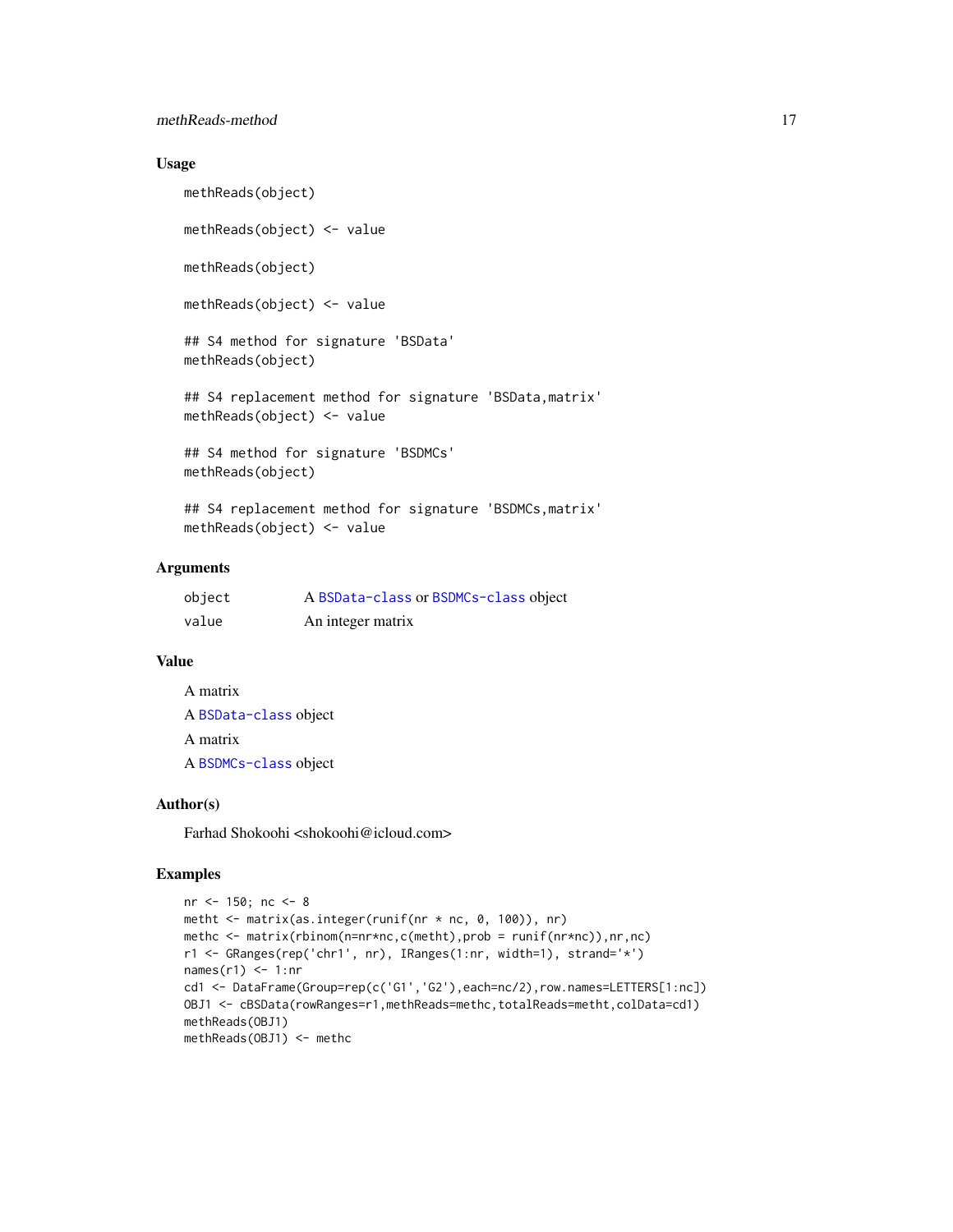#### methReads-method 17

## Usage

```
methReads(object)
methReads(object) <- value
methReads(object)
methReads(object) <- value
## S4 method for signature 'BSData'
methReads(object)
## S4 replacement method for signature 'BSData,matrix'
methReads(object) <- value
## S4 method for signature 'BSDMCs'
methReads(object)
## S4 replacement method for signature 'BSDMCs, matrix'
```

```
methReads(object) <- value
```
## Arguments

| object | A BSData-class or BSDMCs-class object |
|--------|---------------------------------------|
| value  | An integer matrix                     |

#### Value

| A matrix              |  |
|-----------------------|--|
| A BSData-class object |  |
| A matrix              |  |
| A BSDMCs-class object |  |

#### Author(s)

Farhad Shokoohi <shokoohi@icloud.com>

```
nr <- 150; nc <- 8
metht <- matrix(as.integer(runif(nr * nc, 0, 100)), nr)
methc <- matrix(rbinom(n=nr*nc,c(metht),prob = runif(nr*nc)),nr,nc)
r1 <- GRanges(rep('chr1', nr), IRanges(1:nr, width=1), strand='*')
names(r1) <- 1:nr
cd1 <- DataFrame(Group=rep(c('G1','G2'),each=nc/2),row.names=LETTERS[1:nc])
OBJ1 <- cBSData(rowRanges=r1,methReads=methc,totalReads=metht,colData=cd1)
methReads(OBJ1)
methReads(OBJ1) <- methc
```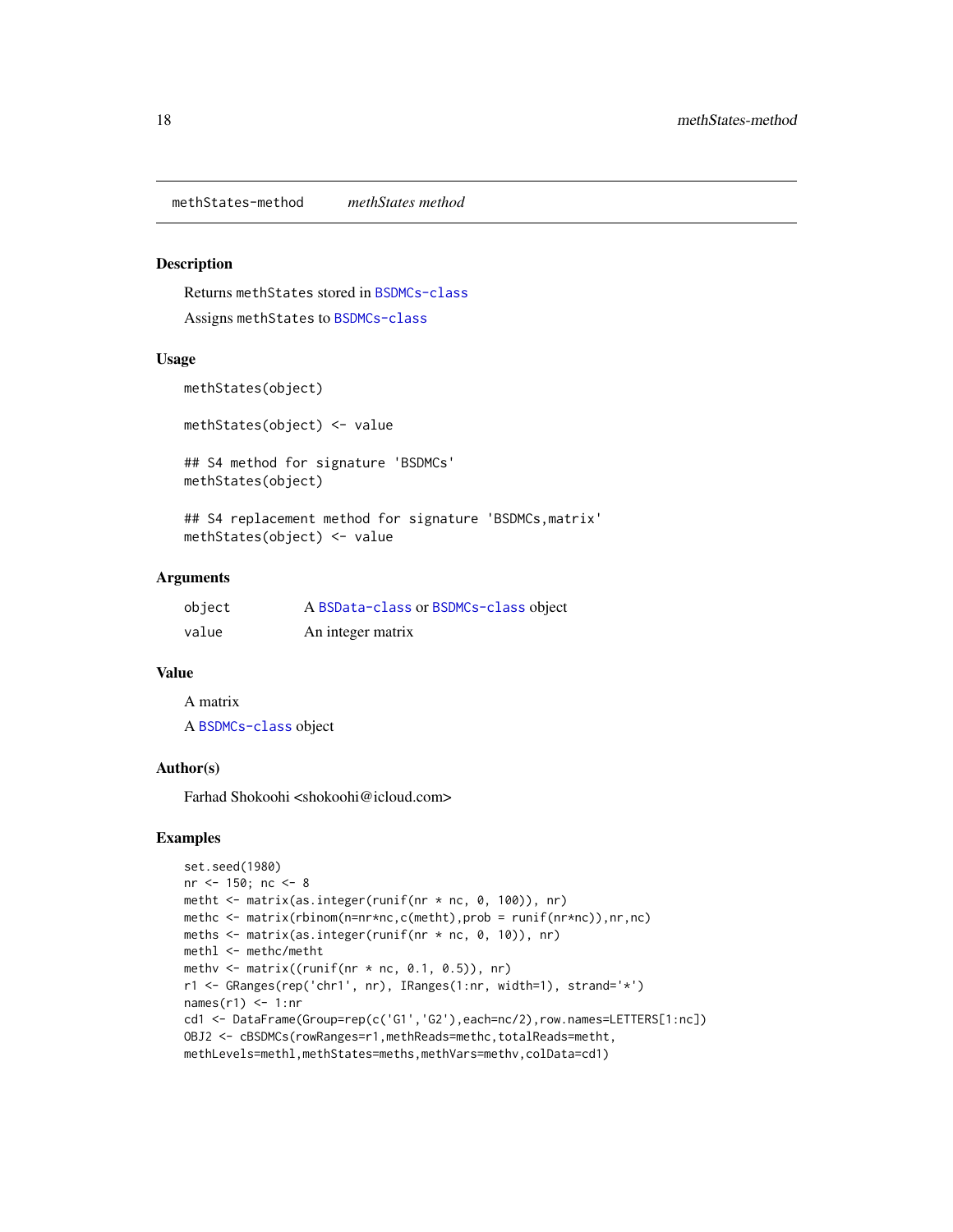<span id="page-17-0"></span>methStates-method *methStates method*

#### Description

Returns methStates stored in [BSDMCs-class](#page-3-1) Assigns methStates to [BSDMCs-class](#page-3-1)

#### Usage

```
methStates(object)
```
methStates(object) <- value

## S4 method for signature 'BSDMCs' methStates(object)

## S4 replacement method for signature 'BSDMCs,matrix' methStates(object) <- value

#### Arguments

| object | A BSData-class or BSDMCs-class object |
|--------|---------------------------------------|
| value  | An integer matrix                     |

#### Value

A matrix A [BSDMCs-class](#page-3-1) object

#### Author(s)

Farhad Shokoohi <shokoohi@icloud.com>

```
set.seed(1980)
nr <- 150; nc <- 8
metht <- matrix(as.integer(runif(nr * nc, 0, 100)), nr)
methc <- matrix(rbinom(n=nr*nc,c(metht),prob = runif(nr*nc)),nr,nc)
meths <- matrix(as.integer(runif(nr * nc, 0, 10)), nr)
methl <- methc/metht
methv \leq matrix((runif(nr \star nc, 0.1, 0.5)), nr)
r1 <- GRanges(rep('chr1', nr), IRanges(1:nr, width=1), strand='*')
names(r1) <- 1:nr
cd1 <- DataFrame(Group=rep(c('G1','G2'),each=nc/2),row.names=LETTERS[1:nc])
OBJ2 <- cBSDMCs(rowRanges=r1,methReads=methc,totalReads=metht,
methLevels=methl,methStates=meths,methVars=methv,colData=cd1)
```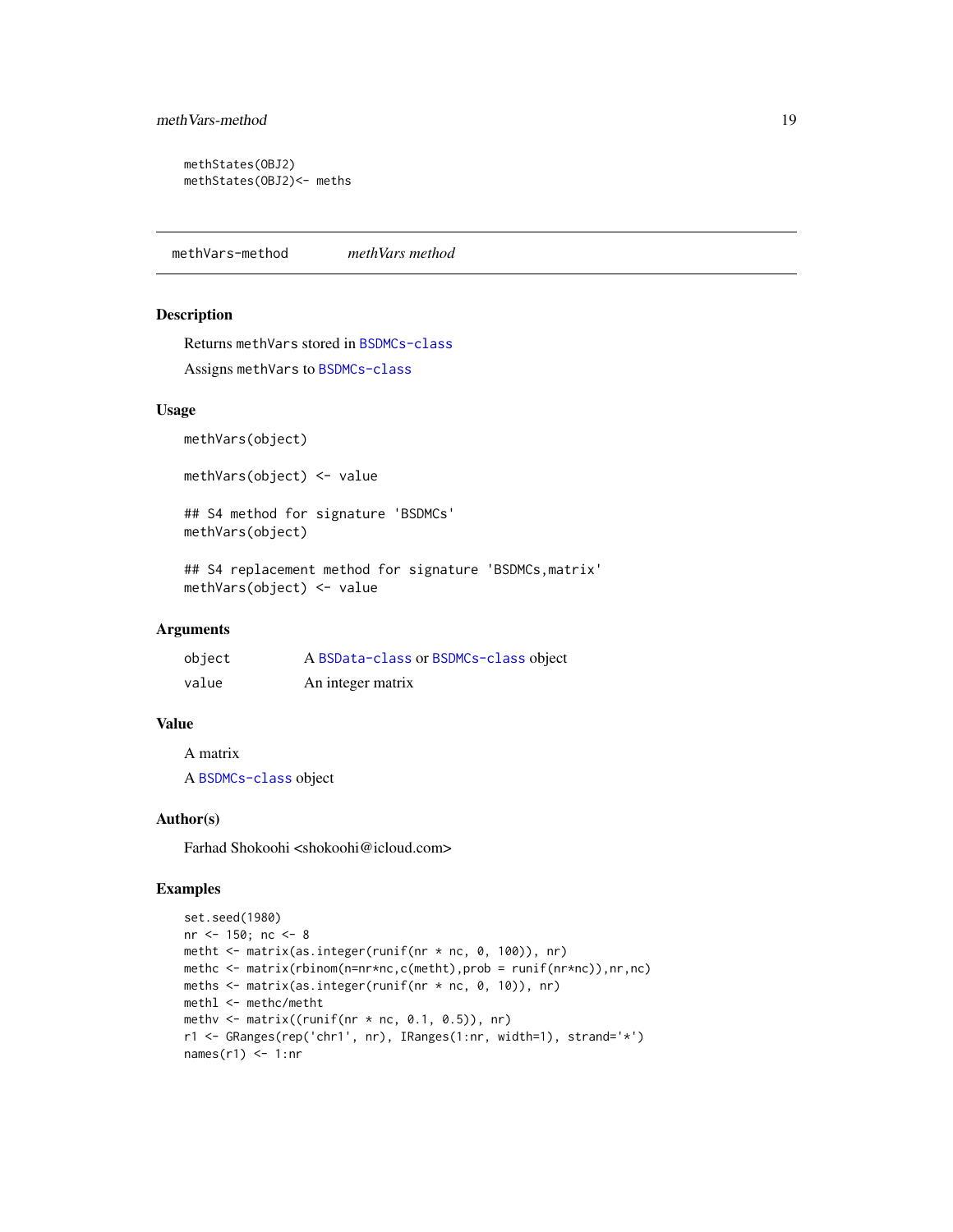```
methStates(OBJ2)
methStates(OBJ2)<- meths
```
methVars-method *methVars method*

#### Description

Returns methVars stored in [BSDMCs-class](#page-3-1) Assigns methVars to [BSDMCs-class](#page-3-1)

#### Usage

methVars(object)

methVars(object) <- value

## S4 method for signature 'BSDMCs' methVars(object)

## S4 replacement method for signature 'BSDMCs, matrix' methVars(object) <- value

#### Arguments

| object | A BSData-class or BSDMCs-class object |
|--------|---------------------------------------|
| value  | An integer matrix                     |

## Value

A matrix

A [BSDMCs-class](#page-3-1) object

## Author(s)

Farhad Shokoohi <shokoohi@icloud.com>

```
set.seed(1980)
nr <- 150; nc <- 8
metht <- matrix(as.integer(runif(nr * nc, 0, 100)), nr)
methc <- matrix(rbinom(n=nr*nc,c(metht),prob = runif(nr*nc)),nr,nc)
meths <- matrix(as.integer(runif(nr * nc, 0, 10)), nr)
methl <- methc/metht
methv \leq matrix((runif(nr \star nc, 0.1, 0.5)), nr)
r1 <- GRanges(rep('chr1', nr), IRanges(1:nr, width=1), strand='*')
names(r1) <- 1:nr
```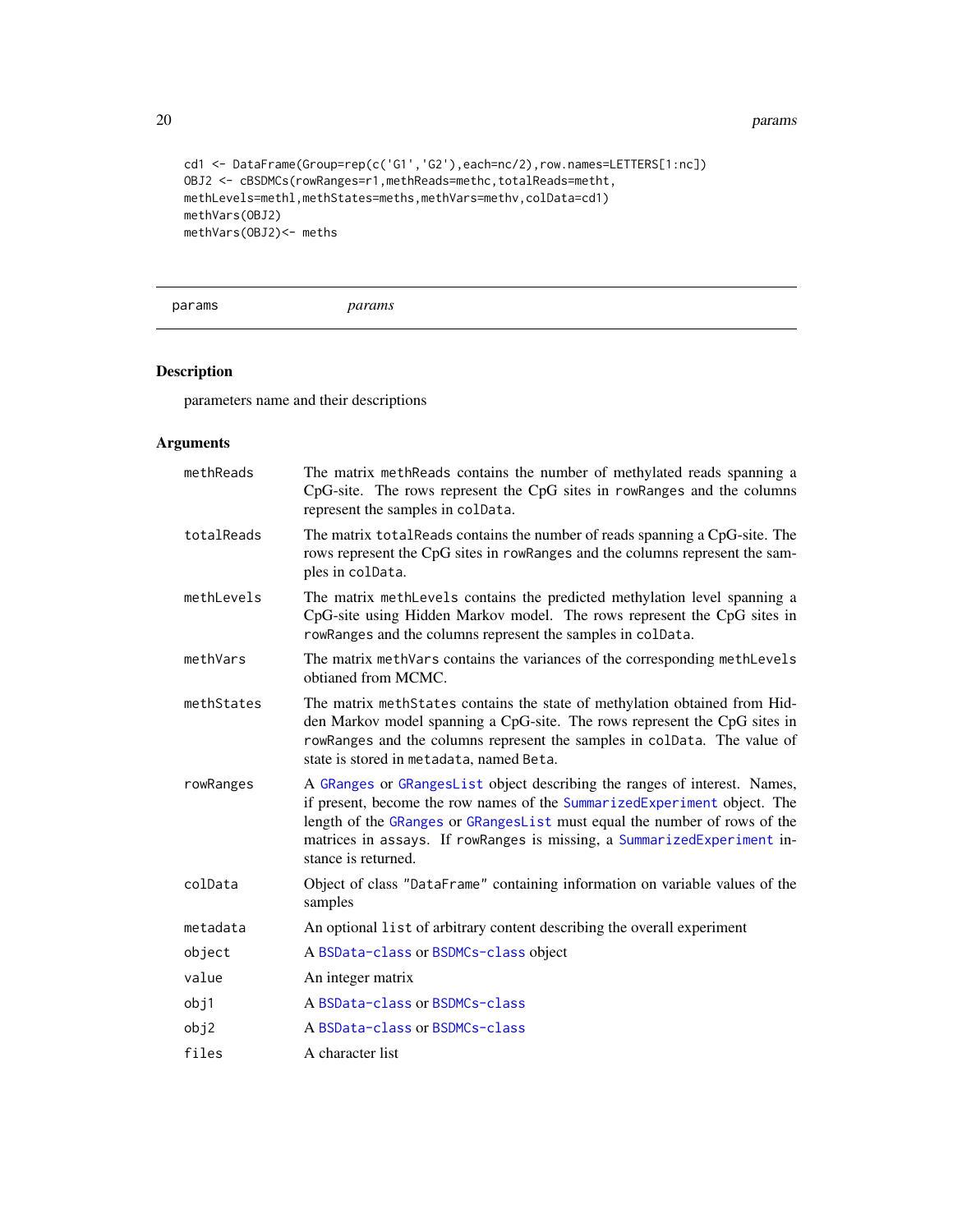20 params and the contract of the contract of the contract of the contract of the contract of the contract of the contract of the contract of the contract of the contract of the contract of the contract of the contract of

```
cd1 <- DataFrame(Group=rep(c('G1','G2'),each=nc/2),row.names=LETTERS[1:nc])
OBJ2 <- cBSDMCs(rowRanges=r1,methReads=methc,totalReads=metht,
methLevels=methl,methStates=meths,methVars=methv,colData=cd1)
methVars(OBJ2)
methVars(OBJ2)<- meths
```
params *params*

## Description

parameters name and their descriptions

## Arguments

| methReads  | The matrix methReads contains the number of methylated reads spanning a<br>CpG-site. The rows represent the CpG sites in rowRanges and the columns<br>represent the samples in colData.                                                                                                                                              |
|------------|--------------------------------------------------------------------------------------------------------------------------------------------------------------------------------------------------------------------------------------------------------------------------------------------------------------------------------------|
| totalReads | The matrix total Reads contains the number of reads spanning a CpG-site. The<br>rows represent the CpG sites in rowRanges and the columns represent the sam-<br>ples in colData.                                                                                                                                                     |
| methLevels | The matrix methLevels contains the predicted methylation level spanning a<br>CpG-site using Hidden Markov model. The rows represent the CpG sites in<br>rowRanges and the columns represent the samples in colData.                                                                                                                  |
| methVars   | The matrix methVars contains the variances of the corresponding methLevels<br>obtianed from MCMC.                                                                                                                                                                                                                                    |
| methStates | The matrix methStates contains the state of methylation obtained from Hid-<br>den Markov model spanning a CpG-site. The rows represent the CpG sites in<br>rowRanges and the columns represent the samples in colData. The value of<br>state is stored in metadata, named Beta.                                                      |
| rowRanges  | A GRanges or GRangesList object describing the ranges of interest. Names,<br>if present, become the row names of the SummarizedExperiment object. The<br>length of the GRanges or GRangesList must equal the number of rows of the<br>matrices in assays. If rowRanges is missing, a SummarizedExperiment in-<br>stance is returned. |
| colData    | Object of class "DataFrame" containing information on variable values of the<br>samples                                                                                                                                                                                                                                              |
| metadata   | An optional list of arbitrary content describing the overall experiment                                                                                                                                                                                                                                                              |
| object     | A BSData-class or BSDMCs-class object                                                                                                                                                                                                                                                                                                |
| value      | An integer matrix                                                                                                                                                                                                                                                                                                                    |
| obj1       | A BSData-class or BSDMCs-class                                                                                                                                                                                                                                                                                                       |
| obj2       | A BSData-class or BSDMCs-class                                                                                                                                                                                                                                                                                                       |
| files      | A character list                                                                                                                                                                                                                                                                                                                     |

<span id="page-19-0"></span>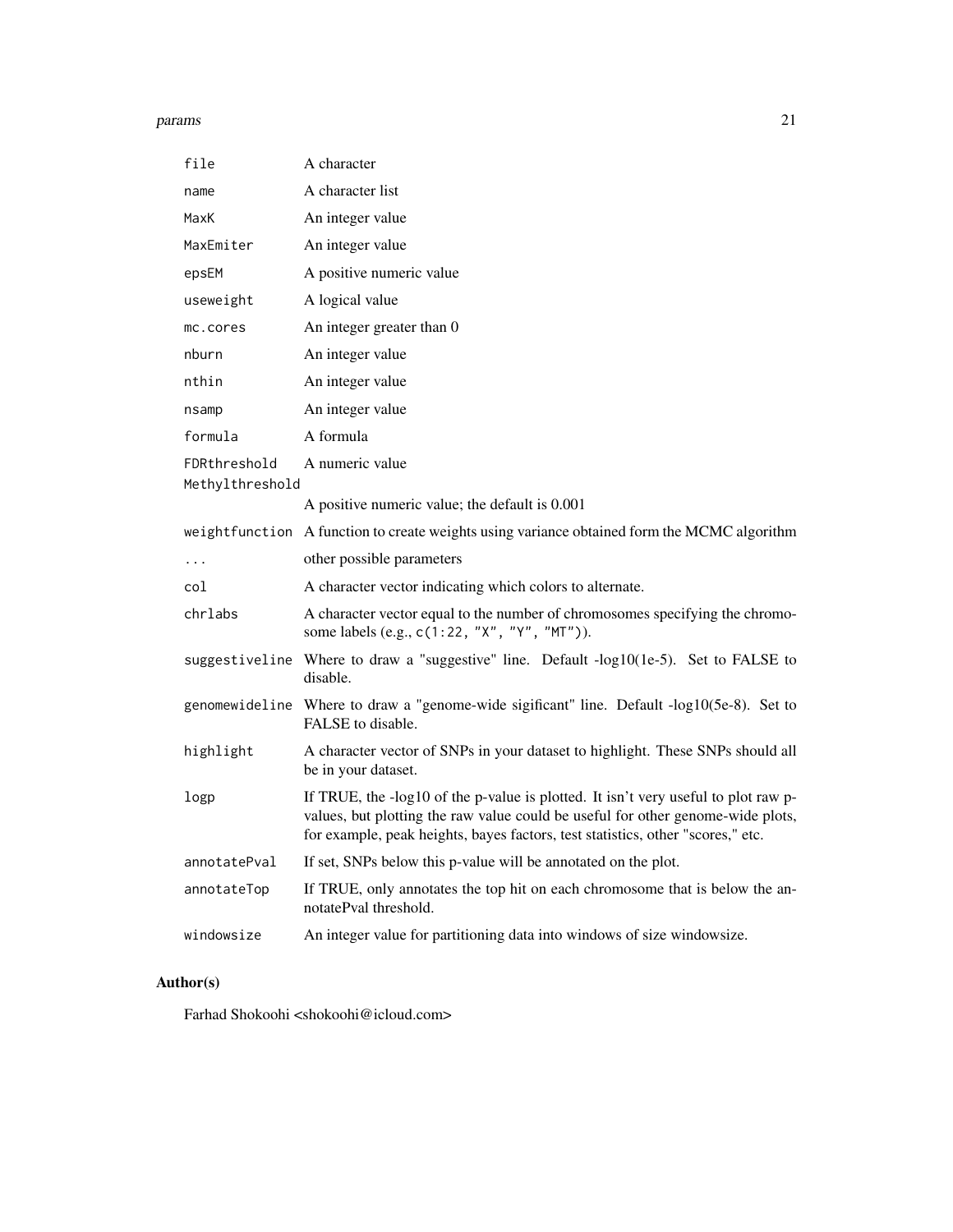#### params 21

| file            | A character                                                                                                                                                                                                                                              |
|-----------------|----------------------------------------------------------------------------------------------------------------------------------------------------------------------------------------------------------------------------------------------------------|
| name            | A character list                                                                                                                                                                                                                                         |
| MaxK            | An integer value                                                                                                                                                                                                                                         |
| MaxEmiter       | An integer value                                                                                                                                                                                                                                         |
| epsEM           | A positive numeric value                                                                                                                                                                                                                                 |
| useweight       | A logical value                                                                                                                                                                                                                                          |
| mc.cores        | An integer greater than 0                                                                                                                                                                                                                                |
| nburn           | An integer value                                                                                                                                                                                                                                         |
| nthin           | An integer value                                                                                                                                                                                                                                         |
| nsamp           | An integer value                                                                                                                                                                                                                                         |
| formula         | A formula                                                                                                                                                                                                                                                |
| FDRthreshold    | A numeric value                                                                                                                                                                                                                                          |
| Methylthreshold |                                                                                                                                                                                                                                                          |
|                 | A positive numeric value; the default is 0.001                                                                                                                                                                                                           |
|                 | weightfunction A function to create weights using variance obtained form the MCMC algorithm                                                                                                                                                              |
| $\cdots$        | other possible parameters                                                                                                                                                                                                                                |
| col             | A character vector indicating which colors to alternate.                                                                                                                                                                                                 |
| chrlabs         | A character vector equal to the number of chromosomes specifying the chromo-<br>some labels (e.g., c(1:22, "X", "Y", "MT")).                                                                                                                             |
|                 |                                                                                                                                                                                                                                                          |
|                 | suggestiveline Where to draw a "suggestive" line. Default -log10(1e-5). Set to FALSE to<br>disable.                                                                                                                                                      |
|                 | genomewideline Where to draw a "genome-wide sigificant" line. Default -log10(5e-8). Set to<br>FALSE to disable.                                                                                                                                          |
| highlight       | A character vector of SNPs in your dataset to highlight. These SNPs should all<br>be in your dataset.                                                                                                                                                    |
| logp            | If TRUE, the -log10 of the p-value is plotted. It isn't very useful to plot raw p-<br>values, but plotting the raw value could be useful for other genome-wide plots,<br>for example, peak heights, bayes factors, test statistics, other "scores," etc. |
| annotatePval    | If set, SNPs below this p-value will be annotated on the plot.                                                                                                                                                                                           |
| annotateTop     | If TRUE, only annotates the top hit on each chromosome that is below the an-<br>notatePval threshold.                                                                                                                                                    |

## Author(s)

Farhad Shokoohi <shokoohi@icloud.com>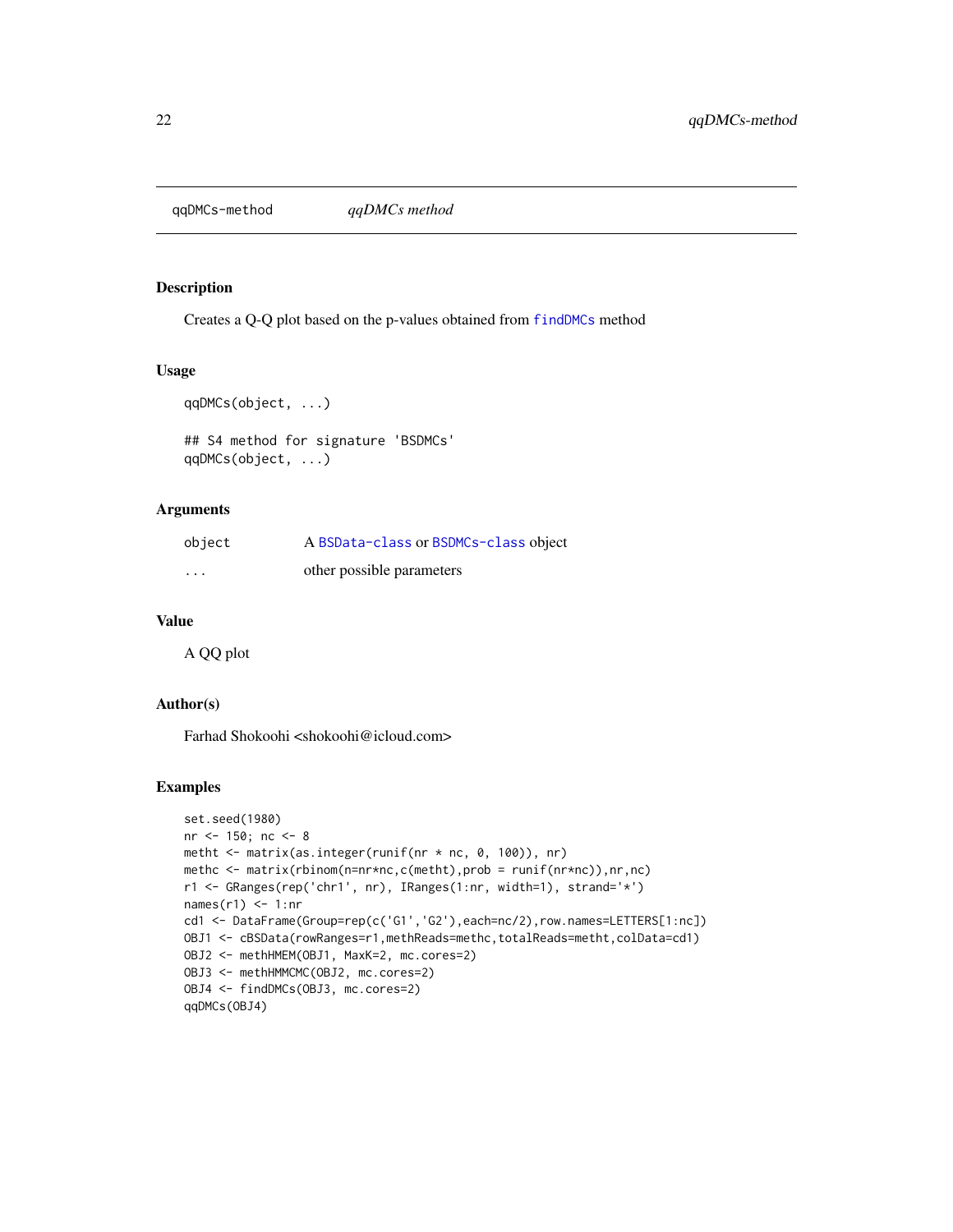<span id="page-21-0"></span>qqDMCs-method *qqDMCs method*

#### <span id="page-21-1"></span>Description

Creates a Q-Q plot based on the p-values obtained from [findDMCs](#page-9-1) method

## Usage

```
qqDMCs(object, ...)
```

```
## S4 method for signature 'BSDMCs'
qqDMCs(object, ...)
```
## Arguments

| object                  | A BSData-class or BSDMCs-class object |
|-------------------------|---------------------------------------|
| $\cdot$ $\cdot$ $\cdot$ | other possible parameters             |

#### Value

A QQ plot

## Author(s)

Farhad Shokoohi <shokoohi@icloud.com>

```
set.seed(1980)
nr <- 150; nc <- 8
metht <- matrix(as.integer(runif(nr * nc, 0, 100)), nr)
methc <- matrix(rbinom(n=nr*nc,c(metht),prob = runif(nr*nc)),nr,nc)
r1 <- GRanges(rep('chr1', nr), IRanges(1:nr, width=1), strand='*')
names(r1) <- 1:nr
cd1 <- DataFrame(Group=rep(c('G1','G2'),each=nc/2),row.names=LETTERS[1:nc])
OBJ1 <- cBSData(rowRanges=r1,methReads=methc,totalReads=metht,colData=cd1)
OBJ2 <- methHMEM(OBJ1, MaxK=2, mc.cores=2)
OBJ3 <- methHMMCMC(OBJ2, mc.cores=2)
OBJ4 <- findDMCs(OBJ3, mc.cores=2)
qqDMCs(OBJ4)
```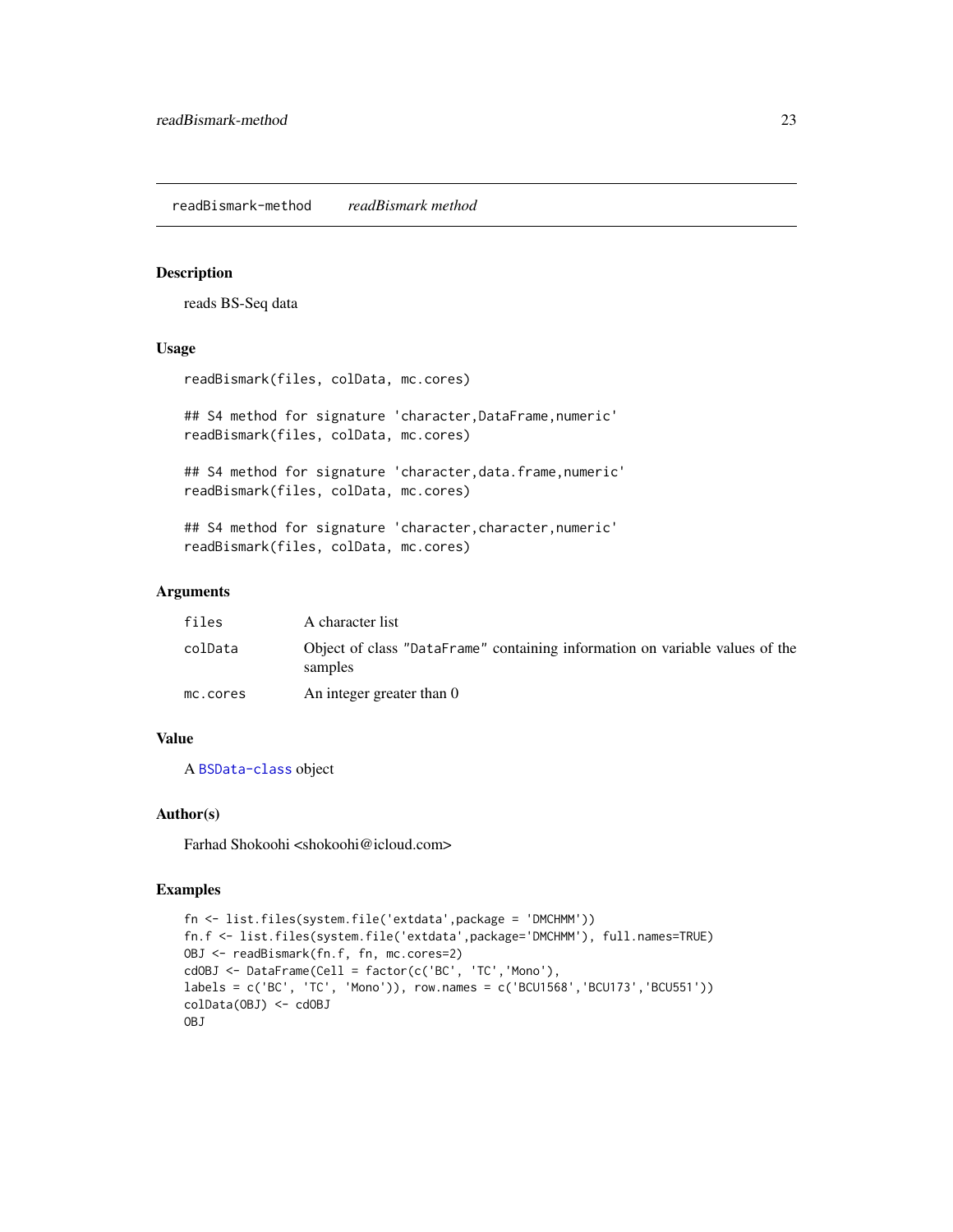<span id="page-22-0"></span>readBismark-method *readBismark method*

#### <span id="page-22-1"></span>Description

reads BS-Seq data

#### Usage

```
readBismark(files, colData, mc.cores)
```
## S4 method for signature 'character,DataFrame,numeric' readBismark(files, colData, mc.cores)

## S4 method for signature 'character, data.frame, numeric' readBismark(files, colData, mc.cores)

## S4 method for signature 'character, character, numeric' readBismark(files, colData, mc.cores)

## Arguments

| files    | A character list                                                                        |
|----------|-----------------------------------------------------------------------------------------|
| colData  | Object of class "DataFrame" containing information on variable values of the<br>samples |
| mc.cores | An integer greater than 0                                                               |

## Value

A [BSData-class](#page-2-1) object

## Author(s)

Farhad Shokoohi <shokoohi@icloud.com>

```
fn <- list.files(system.file('extdata',package = 'DMCHMM'))
fn.f <- list.files(system.file('extdata',package='DMCHMM'), full.names=TRUE)
OBJ <- readBismark(fn.f, fn, mc.cores=2)
cdOBJ <- DataFrame(Cell = factor(c('BC', 'TC','Mono'),
labels = c('BC', 'TC', 'Mono')), row.names = c('BCU1568','BCU173','BCU551'))
colData(OBJ) <- cdOBJ
OBJ
```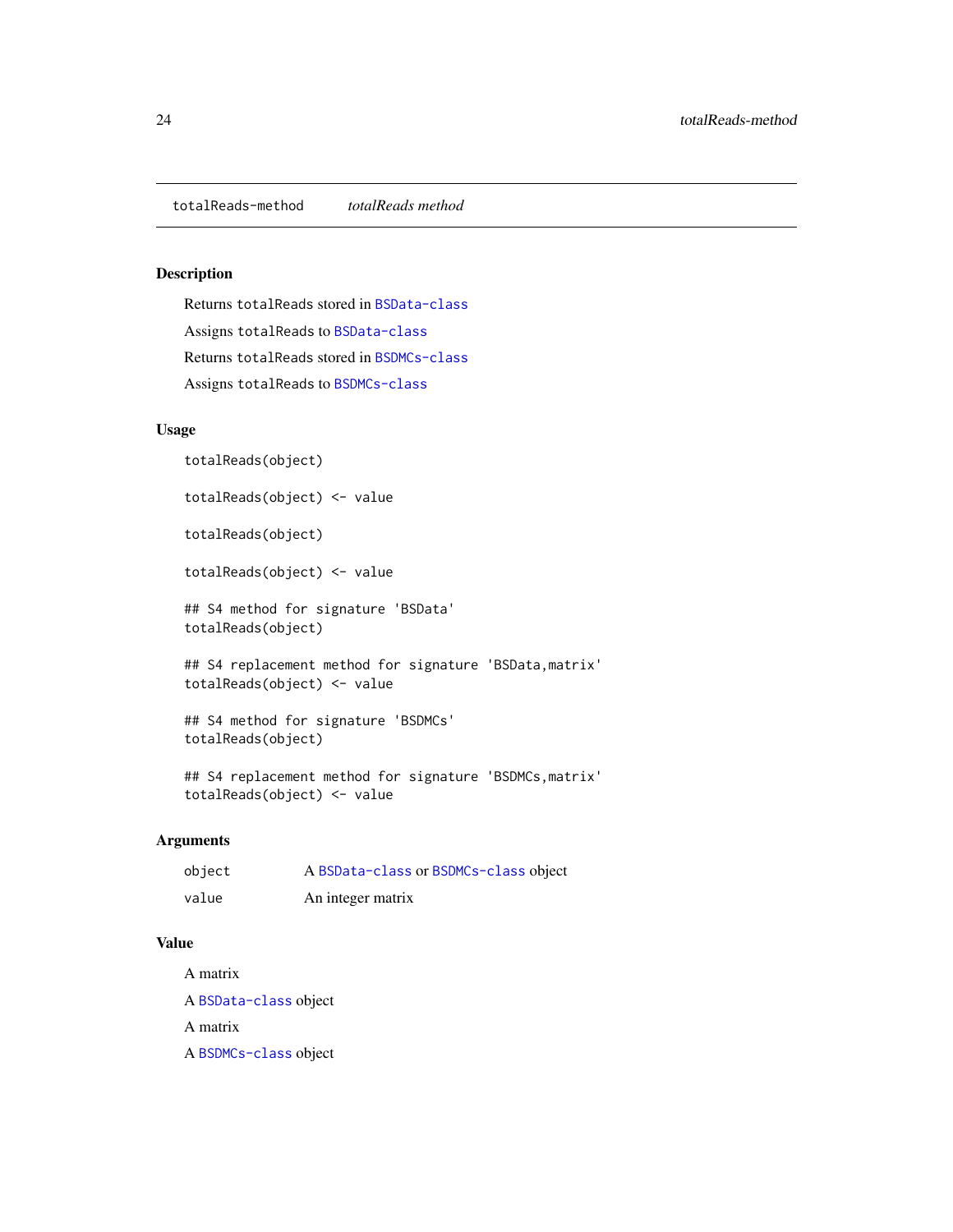## <span id="page-23-0"></span>Description

Returns totalReads stored in [BSData-class](#page-2-1) Assigns totalReads to [BSData-class](#page-2-1) Returns totalReads stored in [BSDMCs-class](#page-3-1) Assigns totalReads to [BSDMCs-class](#page-3-1)

## Usage

totalReads(object)

totalReads(object) <- value

totalReads(object)

totalReads(object) <- value

## S4 method for signature 'BSData' totalReads(object)

## S4 replacement method for signature 'BSData,matrix' totalReads(object) <- value

## S4 method for signature 'BSDMCs' totalReads(object)

## S4 replacement method for signature 'BSDMCs,matrix' totalReads(object) <- value

## Arguments

| object | A BSData-class or BSDMCs-class object |
|--------|---------------------------------------|
| value  | An integer matrix                     |

## Value

A matrix A [BSData-class](#page-2-1) object

A matrix

A [BSDMCs-class](#page-3-1) object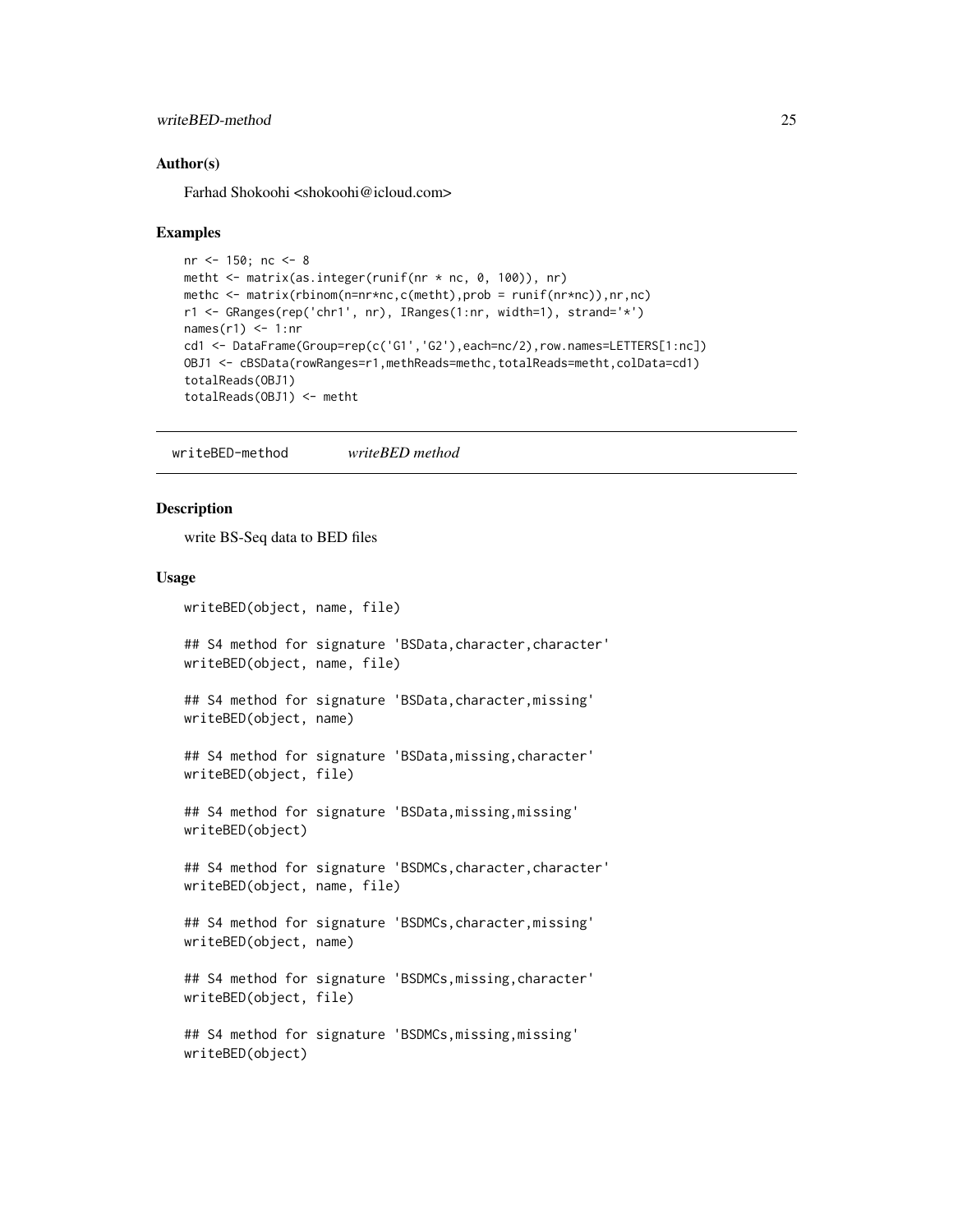#### <span id="page-24-0"></span>writeBED-method 25

#### Author(s)

Farhad Shokoohi <shokoohi@icloud.com>

#### Examples

```
nr <- 150; nc <- 8
metht <- matrix(as.integer(runif(nr * nc, 0, 100)), nr)
methc <- matrix(rbinom(n=nr*nc,c(metht),prob = runif(nr*nc)),nr,nc)
r1 <- GRanges(rep('chr1', nr), IRanges(1:nr, width=1), strand='*')
names(r1) \leq 1:nr
cd1 <- DataFrame(Group=rep(c('G1','G2'),each=nc/2),row.names=LETTERS[1:nc])
OBJ1 <- cBSData(rowRanges=r1,methReads=methc,totalReads=metht,colData=cd1)
totalReads(OBJ1)
totalReads(OBJ1) <- metht
```
writeBED-method *writeBED method*

#### <span id="page-24-1"></span>**Description**

write BS-Seq data to BED files

#### Usage

```
writeBED(object, name, file)
## S4 method for signature 'BSData, character, character'
writeBED(object, name, file)
## S4 method for signature 'BSData,character,missing'
writeBED(object, name)
## S4 method for signature 'BSData,missing,character'
writeBED(object, file)
## S4 method for signature 'BSData,missing,missing'
writeBED(object)
## S4 method for signature 'BSDMCs, character, character'
writeBED(object, name, file)
## S4 method for signature 'BSDMCs,character,missing'
writeBED(object, name)
## S4 method for signature 'BSDMCs, missing, character'
writeBED(object, file)
## S4 method for signature 'BSDMCs,missing,missing'
writeBED(object)
```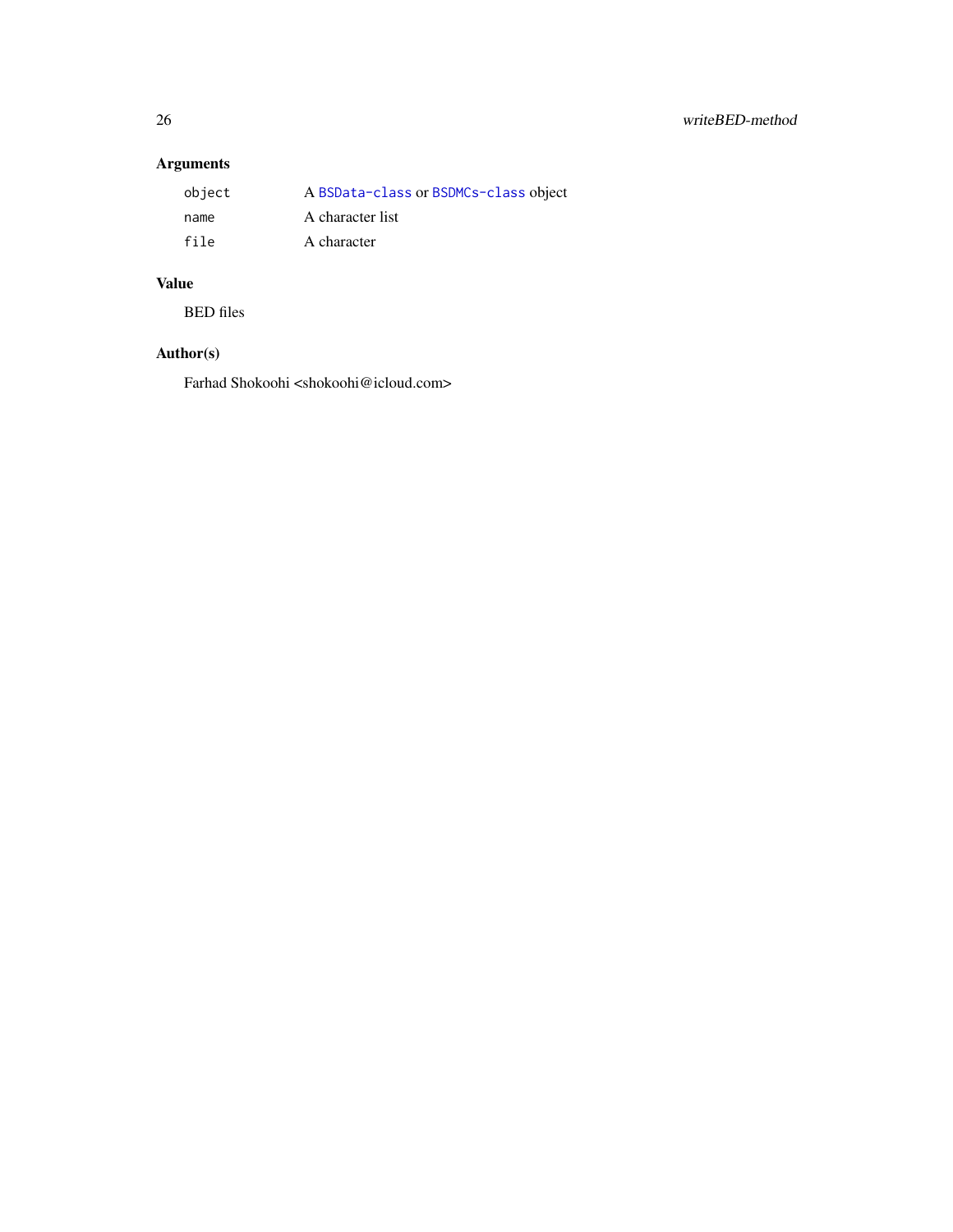## Arguments

| object | A BSData-class or BSDMCs-class object |
|--------|---------------------------------------|
| name   | A character list                      |
| file   | A character                           |

## Value

BED files

## Author(s)

Farhad Shokoohi <shokoohi@icloud.com>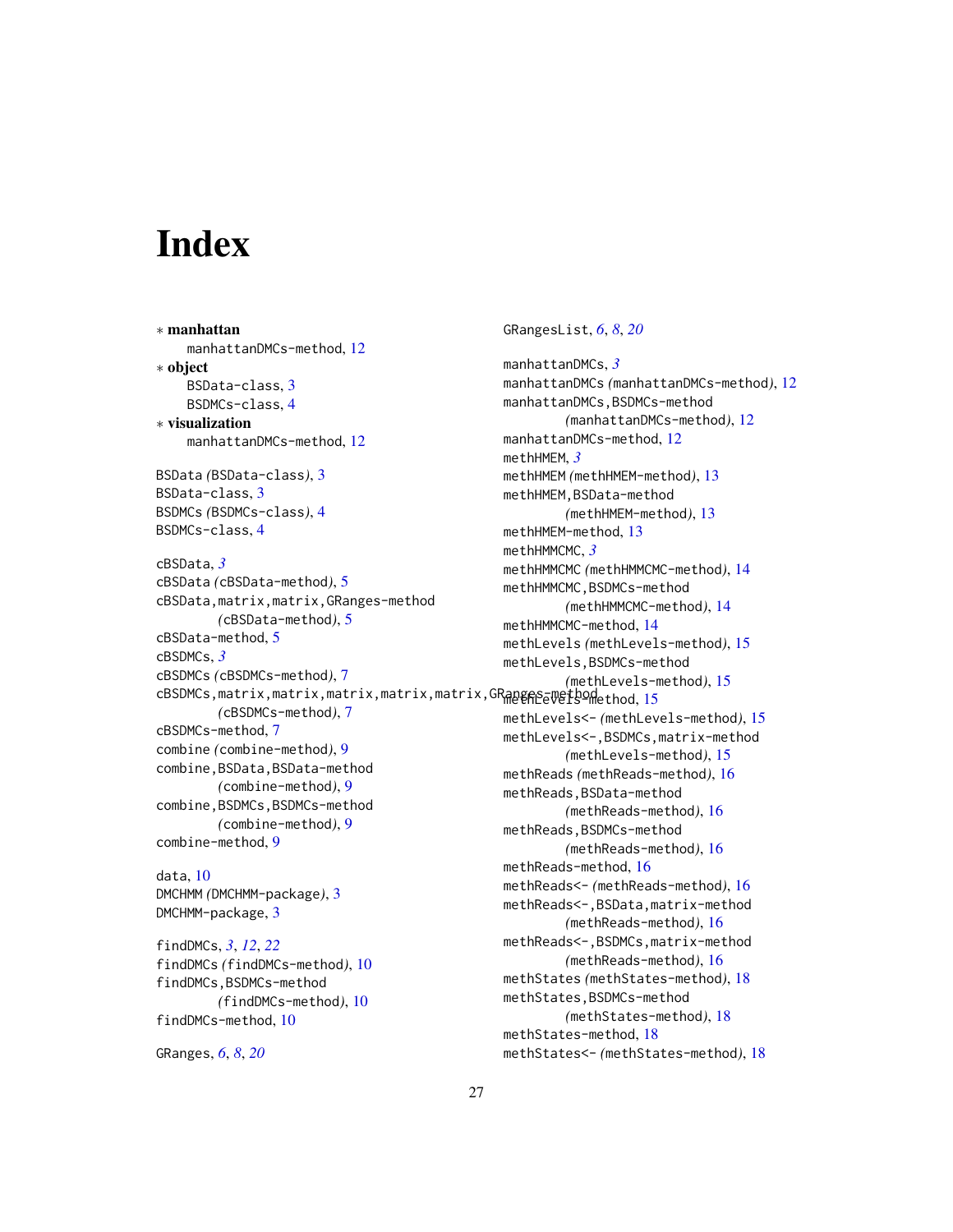# <span id="page-26-0"></span>Index

∗ manhattan manhattanDMCs-method, [12](#page-11-0) ∗ object BSData-class, [3](#page-2-0) BSDMCs-class, [4](#page-3-0) ∗ visualization manhattanDMCs-method, [12](#page-11-0) BSData *(*BSData-class*)*, [3](#page-2-0) BSData-class, [3](#page-2-0) BSDMCs *(*BSDMCs-class*)*, [4](#page-3-0) BSDMCs-class, [4](#page-3-0) cBSData, *[3](#page-2-0)* cBSData *(*cBSData-method*)*, [5](#page-4-0) cBSData,matrix,matrix,GRanges-method *(*cBSData-method*)*, [5](#page-4-0) cBSData-method, [5](#page-4-0) cBSDMCs, *[3](#page-2-0)* cBSDMCs *(*cBSDMCs-method*)*, [7](#page-6-0) cBSDMCs,matrix,matrix,matrix,matrix,matrix,GRangens-wethod,[15](#page-14-0) *(*cBSDMCs-method*)*, [7](#page-6-0) cBSDMCs-method, [7](#page-6-0) combine *(*combine-method*)*, [9](#page-8-0) combine,BSData,BSData-method *(*combine-method*)*, [9](#page-8-0) combine,BSDMCs,BSDMCs-method *(*combine-method*)*, [9](#page-8-0) combine-method, [9](#page-8-0) data, [10](#page-9-0) DMCHMM *(*DMCHMM-package*)*, [3](#page-2-0) DMCHMM-package, [3](#page-2-0) findDMCs, *[3](#page-2-0)*, *[12](#page-11-0)*, *[22](#page-21-0)*

findDMCs *(*findDMCs-method*)*, [10](#page-9-0) findDMCs,BSDMCs-method *(*findDMCs-method*)*, [10](#page-9-0) findDMCs-method, [10](#page-9-0)

GRanges, *[6](#page-5-0)*, *[8](#page-7-0)*, *[20](#page-19-0)*

GRangesList, *[6](#page-5-0)*, *[8](#page-7-0)*, *[20](#page-19-0)*

manhattanDMCs, *[3](#page-2-0)* manhattanDMCs *(*manhattanDMCs-method*)*, [12](#page-11-0) manhattanDMCs, BSDMCs-method *(*manhattanDMCs-method*)*, [12](#page-11-0) manhattanDMCs-method, [12](#page-11-0) methHMEM, *[3](#page-2-0)* methHMEM *(*methHMEM-method*)*, [13](#page-12-0) methHMEM,BSData-method *(*methHMEM-method*)*, [13](#page-12-0) methHMEM-method, [13](#page-12-0) methHMMCMC, *[3](#page-2-0)* methHMMCMC *(*methHMMCMC-method*)*, [14](#page-13-0) methHMMCMC,BSDMCs-method *(*methHMMCMC-method*)*, [14](#page-13-0) methHMMCMC-method, [14](#page-13-0) methLevels *(*methLevels-method*)*, [15](#page-14-0) methLevels,BSDMCs-method *(*methLevels-method*)*, [15](#page-14-0) methLevels<- *(*methLevels-method*)*, [15](#page-14-0) methLevels<-,BSDMCs,matrix-method *(*methLevels-method*)*, [15](#page-14-0) methReads *(*methReads-method*)*, [16](#page-15-0) methReads,BSData-method *(*methReads-method*)*, [16](#page-15-0) methReads,BSDMCs-method *(*methReads-method*)*, [16](#page-15-0) methReads-method, [16](#page-15-0) methReads<- *(*methReads-method*)*, [16](#page-15-0) methReads<-,BSData,matrix-method *(*methReads-method*)*, [16](#page-15-0) methReads<-,BSDMCs,matrix-method *(*methReads-method*)*, [16](#page-15-0) methStates *(*methStates-method*)*, [18](#page-17-0) methStates,BSDMCs-method *(*methStates-method*)*, [18](#page-17-0) methStates-method, [18](#page-17-0) methStates<- *(*methStates-method*)*, [18](#page-17-0)